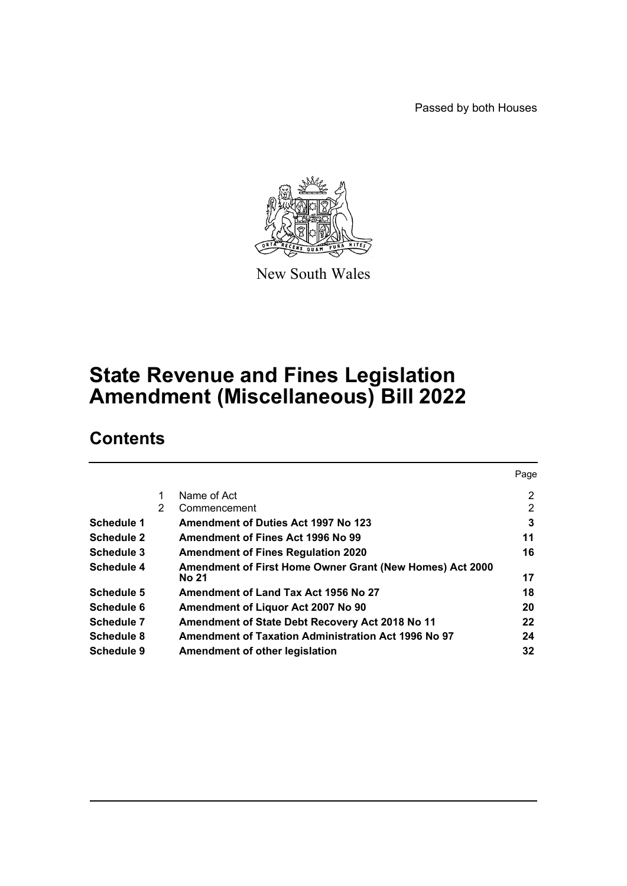Passed by both Houses



New South Wales

# **State Revenue and Fines Legislation Amendment (Miscellaneous) Bill 2022**

# **Contents**

| 2              |
|----------------|
| $\overline{2}$ |
| 3              |
| 11             |
| 16             |
|                |
| 17             |
| 18             |
| 20             |
| 22             |
| 24             |
| 32             |
|                |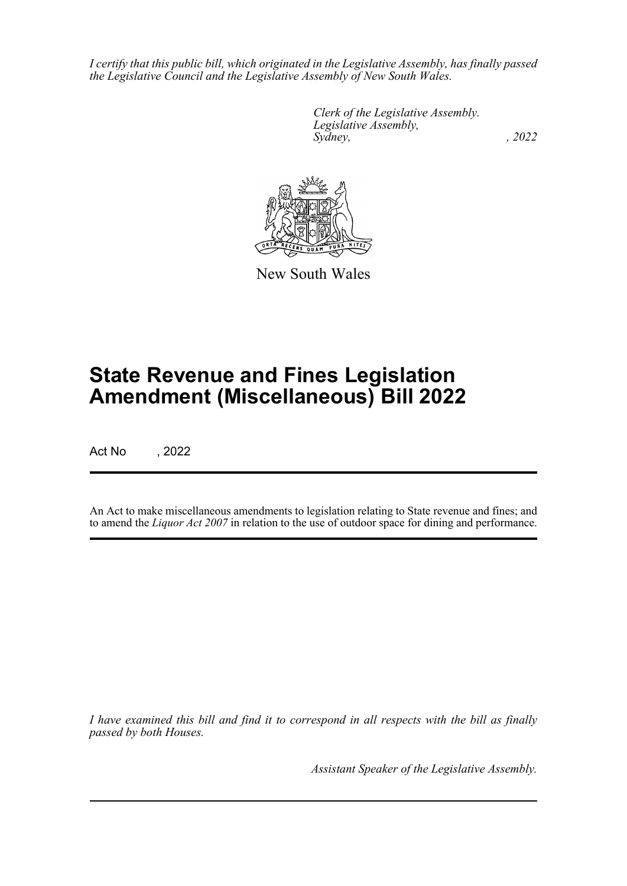*I certify that this public bill, which originated in the Legislative Assembly, has finally passed the Legislative Council and the Legislative Assembly of New South Wales.*

> *Clerk of the Legislative Assembly. Legislative Assembly, Sydney, , 2022*



New South Wales

# **State Revenue and Fines Legislation Amendment (Miscellaneous) Bill 2022**

Act No , 2022

An Act to make miscellaneous amendments to legislation relating to State revenue and fines; and to amend the *Liquor Act 2007* in relation to the use of outdoor space for dining and performance.

*I have examined this bill and find it to correspond in all respects with the bill as finally passed by both Houses.*

*Assistant Speaker of the Legislative Assembly.*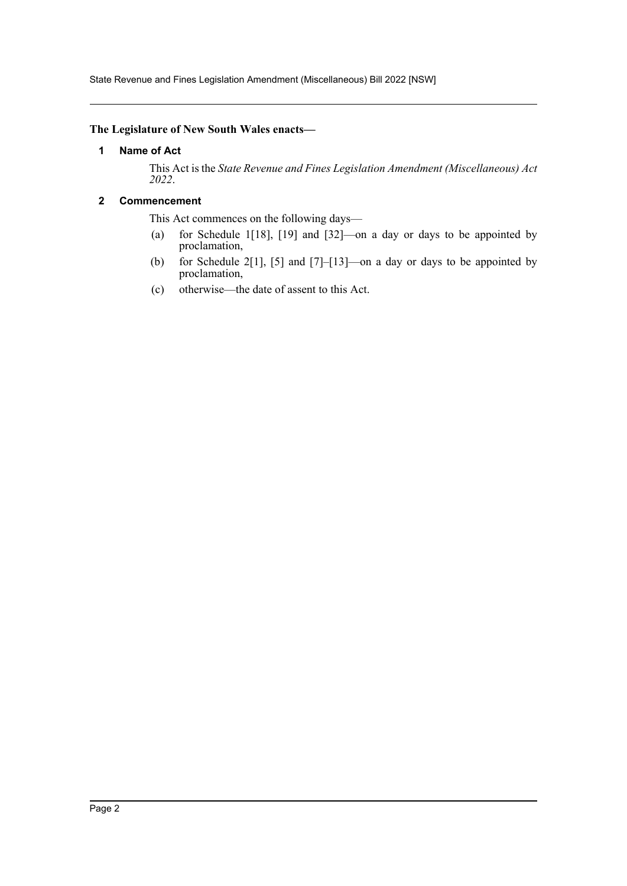State Revenue and Fines Legislation Amendment (Miscellaneous) Bill 2022 [NSW]

### <span id="page-2-0"></span>**The Legislature of New South Wales enacts—**

### **1 Name of Act**

This Act is the *State Revenue and Fines Legislation Amendment (Miscellaneous) Act 2022*.

### <span id="page-2-1"></span>**2 Commencement**

This Act commences on the following days—

- (a) for Schedule 1[18], [19] and [32]—on a day or days to be appointed by proclamation,
- (b) for Schedule 2[1], [5] and [7]–[13]—on a day or days to be appointed by proclamation,
- (c) otherwise—the date of assent to this Act.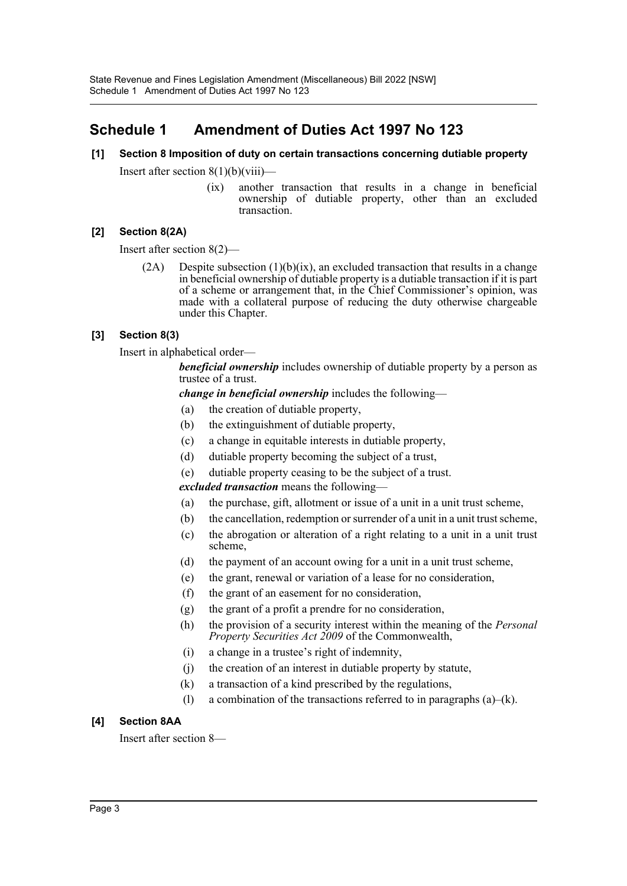## <span id="page-3-0"></span>**Schedule 1 Amendment of Duties Act 1997 No 123**

### **[1] Section 8 Imposition of duty on certain transactions concerning dutiable property**

Insert after section  $8(1)(b)(viii)$ —

(ix) another transaction that results in a change in beneficial ownership of dutiable property, other than an excluded transaction.

### **[2] Section 8(2A)**

Insert after section 8(2)—

 $(2A)$  Despite subsection  $(1)(b)(ix)$ , an excluded transaction that results in a change in beneficial ownership of dutiable property is a dutiable transaction if it is part of a scheme or arrangement that, in the Chief Commissioner's opinion, was made with a collateral purpose of reducing the duty otherwise chargeable under this Chapter.

### **[3] Section 8(3)**

Insert in alphabetical order—

*beneficial ownership* includes ownership of dutiable property by a person as trustee of a trust.

*change in beneficial ownership* includes the following—

- (a) the creation of dutiable property,
- (b) the extinguishment of dutiable property,
- (c) a change in equitable interests in dutiable property,
- (d) dutiable property becoming the subject of a trust,
- (e) dutiable property ceasing to be the subject of a trust.

*excluded transaction* means the following—

- (a) the purchase, gift, allotment or issue of a unit in a unit trust scheme,
- (b) the cancellation, redemption or surrender of a unit in a unit trust scheme,
- (c) the abrogation or alteration of a right relating to a unit in a unit trust scheme,
- (d) the payment of an account owing for a unit in a unit trust scheme,
- (e) the grant, renewal or variation of a lease for no consideration,
- (f) the grant of an easement for no consideration,
- (g) the grant of a profit a prendre for no consideration,
- (h) the provision of a security interest within the meaning of the *Personal Property Securities Act 2009* of the Commonwealth,
- (i) a change in a trustee's right of indemnity,
- (j) the creation of an interest in dutiable property by statute,
- (k) a transaction of a kind prescribed by the regulations,
- (1) a combination of the transactions referred to in paragraphs  $(a)$ – $(k)$ .

### **[4] Section 8AA**

Insert after section 8—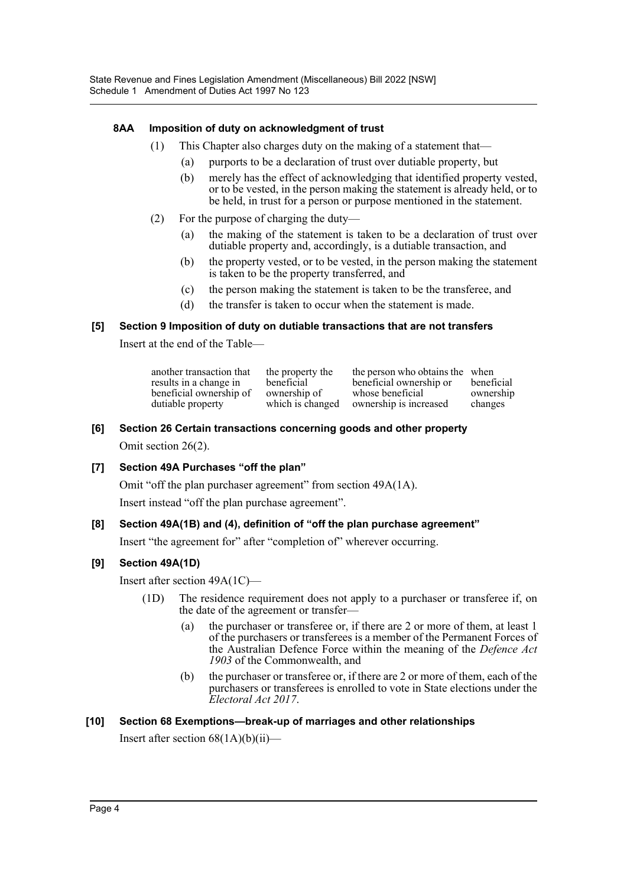### **8AA Imposition of duty on acknowledgment of trust**

- (1) This Chapter also charges duty on the making of a statement that—
	- (a) purports to be a declaration of trust over dutiable property, but
	- (b) merely has the effect of acknowledging that identified property vested, or to be vested, in the person making the statement is already held, or to be held, in trust for a person or purpose mentioned in the statement.
- (2) For the purpose of charging the duty—
	- (a) the making of the statement is taken to be a declaration of trust over dutiable property and, accordingly, is a dutiable transaction, and
	- (b) the property vested, or to be vested, in the person making the statement is taken to be the property transferred, and
	- (c) the person making the statement is taken to be the transferee, and
	- (d) the transfer is taken to occur when the statement is made.

### **[5] Section 9 Imposition of duty on dutiable transactions that are not transfers**

Insert at the end of the Table—

| another transaction that | the property the | the person who obtains the when | beneficial |
|--------------------------|------------------|---------------------------------|------------|
| results in a change in   | beneficial       | beneficial ownership or         |            |
| beneficial ownership of  | ownership of     | whose beneficial                | ownership  |
| dutiable property        | which is changed | ownership is increased          | changes    |

### **[6] Section 26 Certain transactions concerning goods and other property**

Omit section 26(2).

### **[7] Section 49A Purchases "off the plan"**

Omit "off the plan purchaser agreement" from section 49A(1A).

Insert instead "off the plan purchase agreement".

### **[8] Section 49A(1B) and (4), definition of "off the plan purchase agreement"**

Insert "the agreement for" after "completion of" wherever occurring.

### **[9] Section 49A(1D)**

Insert after section 49A(1C)—

- (1D) The residence requirement does not apply to a purchaser or transferee if, on the date of the agreement or transfer—
	- (a) the purchaser or transferee or, if there are 2 or more of them, at least 1 of the purchasers or transferees is a member of the Permanent Forces of the Australian Defence Force within the meaning of the *Defence Act 1903* of the Commonwealth, and
	- (b) the purchaser or transferee or, if there are 2 or more of them, each of the purchasers or transferees is enrolled to vote in State elections under the *Electoral Act 2017*.

### **[10] Section 68 Exemptions—break-up of marriages and other relationships**

Insert after section 68(1A)(b)(ii)—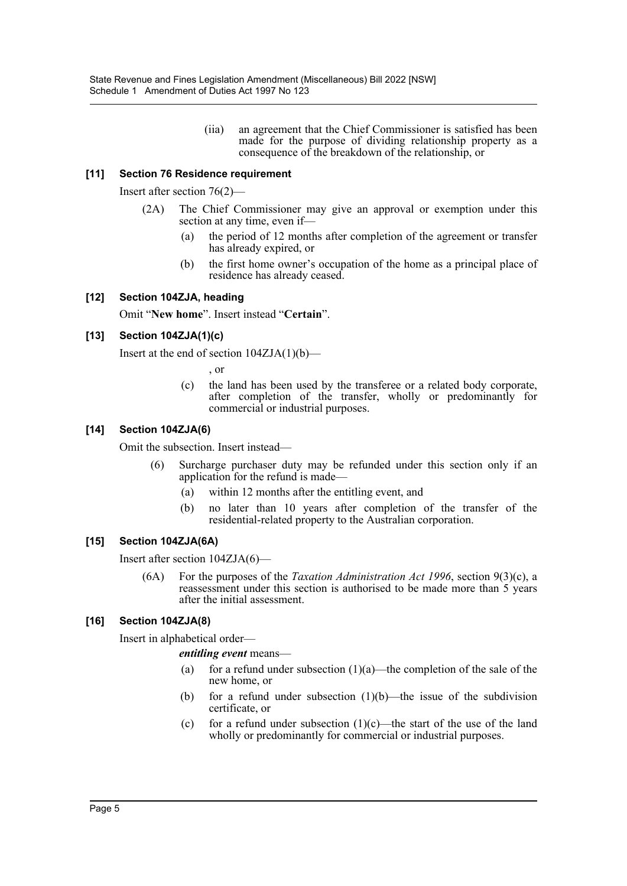(iia) an agreement that the Chief Commissioner is satisfied has been made for the purpose of dividing relationship property as a consequence of the breakdown of the relationship, or

### **[11] Section 76 Residence requirement**

Insert after section 76(2)—

- (2A) The Chief Commissioner may give an approval or exemption under this section at any time, even if—
	- (a) the period of 12 months after completion of the agreement or transfer has already expired, or
	- (b) the first home owner's occupation of the home as a principal place of residence has already ceased.

### **[12] Section 104ZJA, heading**

Omit "**New home**". Insert instead "**Certain**".

### **[13] Section 104ZJA(1)(c)**

Insert at the end of section  $104ZJA(1)(b)$ —

, or

(c) the land has been used by the transferee or a related body corporate, after completion of the transfer, wholly or predominantly for commercial or industrial purposes.

### **[14] Section 104ZJA(6)**

Omit the subsection. Insert instead—

- (6) Surcharge purchaser duty may be refunded under this section only if an application for the refund is made—
	- (a) within 12 months after the entitling event, and
	- (b) no later than 10 years after completion of the transfer of the residential-related property to the Australian corporation.

### **[15] Section 104ZJA(6A)**

Insert after section 104ZJA(6)—

(6A) For the purposes of the *Taxation Administration Act 1996*, section 9(3)(c), a reassessment under this section is authorised to be made more than 5 years after the initial assessment.

### **[16] Section 104ZJA(8)**

Insert in alphabetical order—

*entitling event* means—

- (a) for a refund under subsection  $(1)(a)$ —the completion of the sale of the new home, or
- (b) for a refund under subsection  $(1)(b)$ —the issue of the subdivision certificate, or
- (c) for a refund under subsection  $(1)(c)$ —the start of the use of the land wholly or predominantly for commercial or industrial purposes.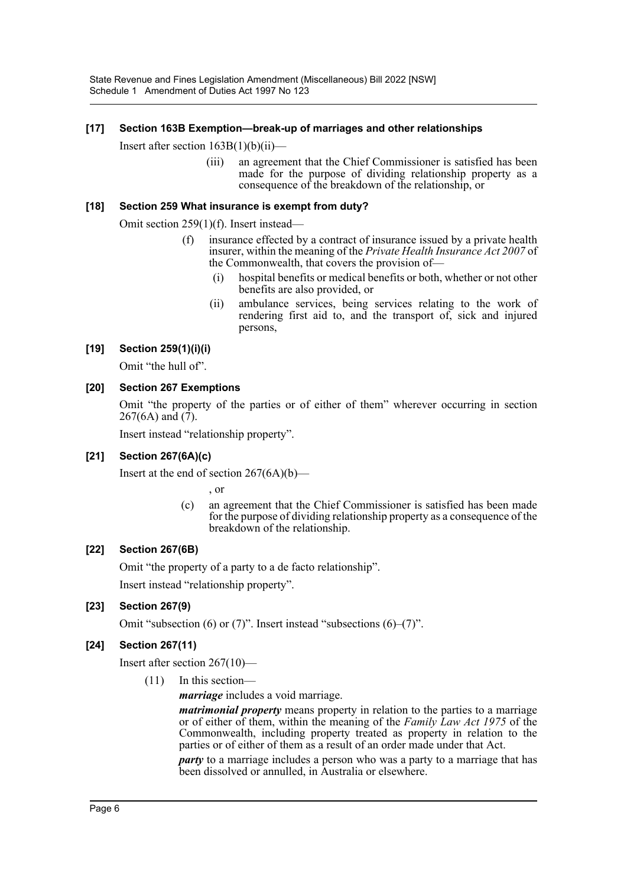### **[17] Section 163B Exemption—break-up of marriages and other relationships**

Insert after section  $163B(1)(b)(ii)$ —

(iii) an agreement that the Chief Commissioner is satisfied has been made for the purpose of dividing relationship property as a consequence of the breakdown of the relationship, or

### **[18] Section 259 What insurance is exempt from duty?**

Omit section 259(1)(f). Insert instead—

- (f) insurance effected by a contract of insurance issued by a private health insurer, within the meaning of the *Private Health Insurance Act 2007* of the Commonwealth, that covers the provision of—
	- (i) hospital benefits or medical benefits or both, whether or not other benefits are also provided, or
	- (ii) ambulance services, being services relating to the work of rendering first aid to, and the transport of, sick and injured persons,

### **[19] Section 259(1)(i)(i)**

Omit "the hull of".

### **[20] Section 267 Exemptions**

Omit "the property of the parties or of either of them" wherever occurring in section 267(6A) and (7).

Insert instead "relationship property".

### **[21] Section 267(6A)(c)**

Insert at the end of section  $267(6A)(b)$ —

, or

(c) an agreement that the Chief Commissioner is satisfied has been made for the purpose of dividing relationship property as a consequence of the breakdown of the relationship.

### **[22] Section 267(6B)**

Omit "the property of a party to a de facto relationship".

Insert instead "relationship property".

### **[23] Section 267(9)**

Omit "subsection (6) or (7)". Insert instead "subsections (6)–(7)".

### **[24] Section 267(11)**

Insert after section 267(10)—

(11) In this section—

*marriage* includes a void marriage.

*matrimonial property* means property in relation to the parties to a marriage or of either of them, within the meaning of the *Family Law Act 1975* of the Commonwealth, including property treated as property in relation to the parties or of either of them as a result of an order made under that Act.

*party* to a marriage includes a person who was a party to a marriage that has been dissolved or annulled, in Australia or elsewhere.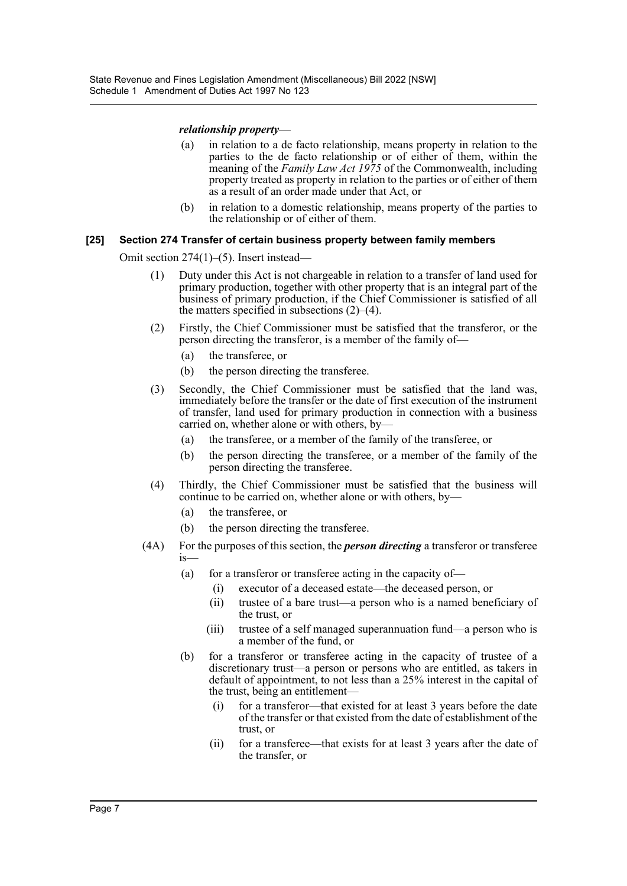### *relationship property*—

- (a) in relation to a de facto relationship, means property in relation to the parties to the de facto relationship or of either of them, within the meaning of the *Family Law Act 1975* of the Commonwealth, including property treated as property in relation to the parties or of either of them as a result of an order made under that Act, or
- (b) in relation to a domestic relationship, means property of the parties to the relationship or of either of them.

#### **[25] Section 274 Transfer of certain business property between family members**

Omit section 274(1)–(5). Insert instead—

- (1) Duty under this Act is not chargeable in relation to a transfer of land used for primary production, together with other property that is an integral part of the business of primary production, if the Chief Commissioner is satisfied of all the matters specified in subsections  $(2)$ – $(4)$ .
- (2) Firstly, the Chief Commissioner must be satisfied that the transferor, or the person directing the transferor, is a member of the family of—
	- (a) the transferee, or
	- (b) the person directing the transferee.
- (3) Secondly, the Chief Commissioner must be satisfied that the land was, immediately before the transfer or the date of first execution of the instrument of transfer, land used for primary production in connection with a business carried on, whether alone or with others, by—
	- (a) the transferee, or a member of the family of the transferee, or
	- (b) the person directing the transferee, or a member of the family of the person directing the transferee.
- (4) Thirdly, the Chief Commissioner must be satisfied that the business will continue to be carried on, whether alone or with others, by—
	- (a) the transferee, or
	- (b) the person directing the transferee.
- (4A) For the purposes of this section, the *person directing* a transferor or transferee is—
	- (a) for a transferor or transferee acting in the capacity of-
		- (i) executor of a deceased estate—the deceased person, or
		- (ii) trustee of a bare trust—a person who is a named beneficiary of the trust, or
		- (iii) trustee of a self managed superannuation fund—a person who is a member of the fund, or
	- (b) for a transferor or transferee acting in the capacity of trustee of a discretionary trust—a person or persons who are entitled, as takers in default of appointment, to not less than a 25% interest in the capital of the trust, being an entitlement—
		- (i) for a transferor—that existed for at least 3 years before the date of the transfer or that existed from the date of establishment of the trust, or
		- (ii) for a transferee—that exists for at least 3 years after the date of the transfer, or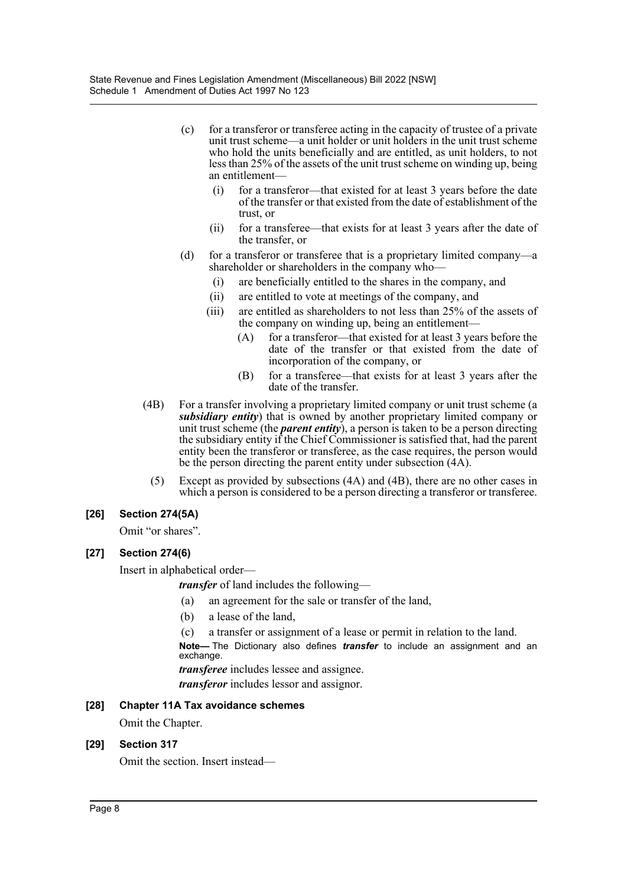- (c) for a transferor or transferee acting in the capacity of trustee of a private unit trust scheme—a unit holder or unit holders in the unit trust scheme who hold the units beneficially and are entitled, as unit holders, to not less than 25% of the assets of the unit trust scheme on winding up, being an entitlement—
	- (i) for a transferor—that existed for at least 3 years before the date of the transfer or that existed from the date of establishment of the trust, or
	- (ii) for a transferee—that exists for at least 3 years after the date of the transfer, or
- (d) for a transferor or transferee that is a proprietary limited company—a shareholder or shareholders in the company who—
	- (i) are beneficially entitled to the shares in the company, and
	- (ii) are entitled to vote at meetings of the company, and
	- (iii) are entitled as shareholders to not less than 25% of the assets of the company on winding up, being an entitlement—
		- (A) for a transferor—that existed for at least 3 years before the date of the transfer or that existed from the date of incorporation of the company, or
		- (B) for a transferee—that exists for at least 3 years after the date of the transfer.
- (4B) For a transfer involving a proprietary limited company or unit trust scheme (a *subsidiary entity*) that is owned by another proprietary limited company or unit trust scheme (the *parent entity*), a person is taken to be a person directing the subsidiary entity if the Chief Commissioner is satisfied that, had the parent entity been the transferor or transferee, as the case requires, the person would be the person directing the parent entity under subsection (4A).
	- (5) Except as provided by subsections (4A) and (4B), there are no other cases in which a person is considered to be a person directing a transferor or transferee.

### **[26] Section 274(5A)**

Omit "or shares".

### **[27] Section 274(6)**

Insert in alphabetical order—

*transfer* of land includes the following—

- (a) an agreement for the sale or transfer of the land,
- (b) a lease of the land,
- (c) a transfer or assignment of a lease or permit in relation to the land.

**Note—** The Dictionary also defines *transfer* to include an assignment and an exchange.

*transferee* includes lessee and assignee.

*transferor* includes lessor and assignor.

### **[28] Chapter 11A Tax avoidance schemes**

Omit the Chapter.

### **[29] Section 317**

Omit the section. Insert instead—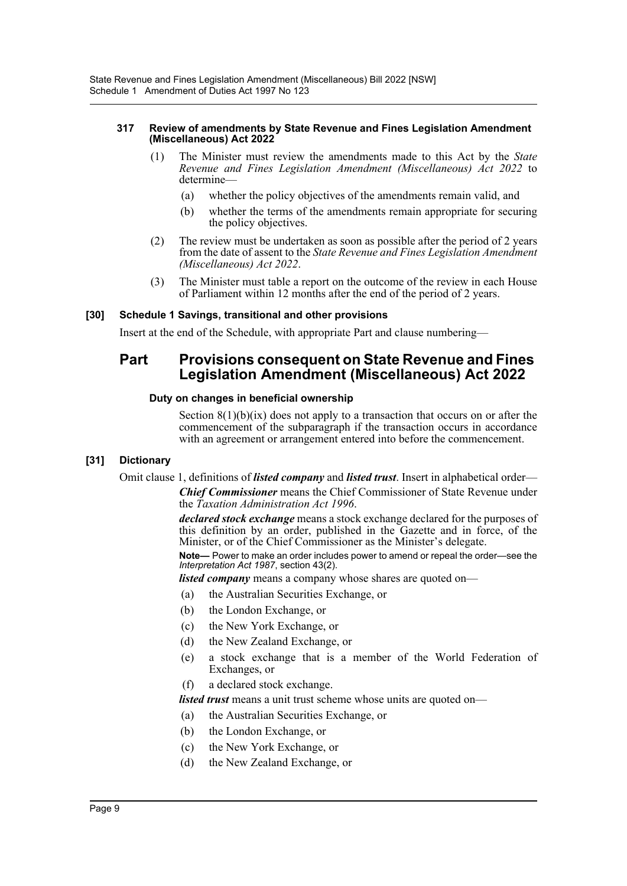#### **317 Review of amendments by State Revenue and Fines Legislation Amendment (Miscellaneous) Act 2022**

- (1) The Minister must review the amendments made to this Act by the *State Revenue and Fines Legislation Amendment (Miscellaneous) Act 2022* to determine—
	- (a) whether the policy objectives of the amendments remain valid, and
	- (b) whether the terms of the amendments remain appropriate for securing the policy objectives.
- (2) The review must be undertaken as soon as possible after the period of 2 years from the date of assent to the *State Revenue and Fines Legislation Amendment (Miscellaneous) Act 2022*.
- (3) The Minister must table a report on the outcome of the review in each House of Parliament within 12 months after the end of the period of 2 years.

### **[30] Schedule 1 Savings, transitional and other provisions**

Insert at the end of the Schedule, with appropriate Part and clause numbering—

### **Part Provisions consequent on State Revenue and Fines Legislation Amendment (Miscellaneous) Act 2022**

### **Duty on changes in beneficial ownership**

Section  $8(1)(b)(ix)$  does not apply to a transaction that occurs on or after the commencement of the subparagraph if the transaction occurs in accordance with an agreement or arrangement entered into before the commencement.

### **[31] Dictionary**

Omit clause 1, definitions of *listed company* and *listed trust*. Insert in alphabetical order—

*Chief Commissioner* means the Chief Commissioner of State Revenue under the *Taxation Administration Act 1996*.

*declared stock exchange* means a stock exchange declared for the purposes of this definition by an order, published in the Gazette and in force, of the Minister, or of the Chief Commissioner as the Minister's delegate.

**Note—** Power to make an order includes power to amend or repeal the order—see the *Interpretation Act 1987*, section 43(2).

*listed company* means a company whose shares are quoted on—

- (a) the Australian Securities Exchange, or
- (b) the London Exchange, or
- (c) the New York Exchange, or
- (d) the New Zealand Exchange, or
- (e) a stock exchange that is a member of the World Federation of Exchanges, or
- (f) a declared stock exchange.

*listed trust* means a unit trust scheme whose units are quoted on—

(a) the Australian Securities Exchange, or

- (b) the London Exchange, or
- (c) the New York Exchange, or
- (d) the New Zealand Exchange, or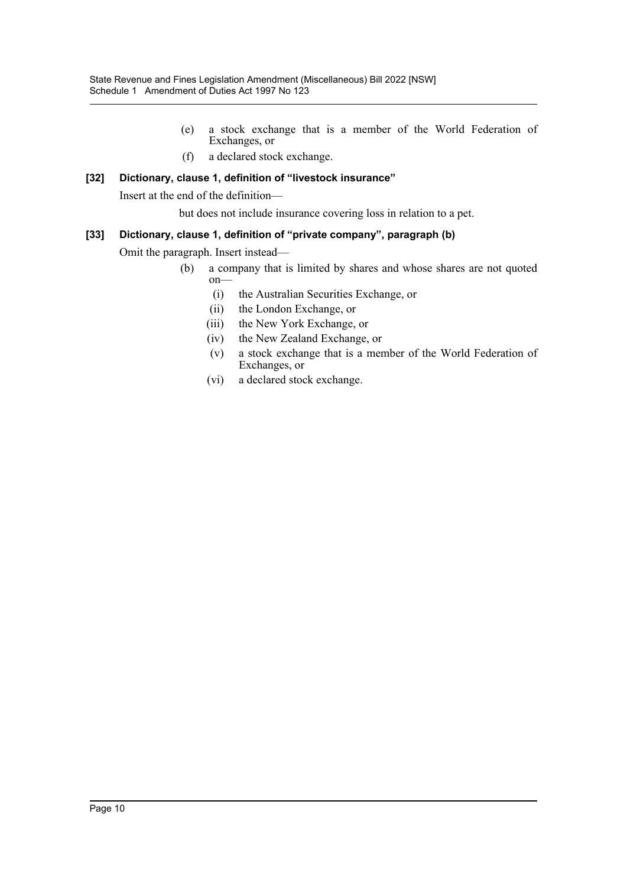- (e) a stock exchange that is a member of the World Federation of Exchanges, or
- (f) a declared stock exchange.

### **[32] Dictionary, clause 1, definition of "livestock insurance"**

Insert at the end of the definition—

but does not include insurance covering loss in relation to a pet.

### **[33] Dictionary, clause 1, definition of "private company", paragraph (b)**

Omit the paragraph. Insert instead—

- (b) a company that is limited by shares and whose shares are not quoted on—
	- (i) the Australian Securities Exchange, or
	- (ii) the London Exchange, or
	- (iii) the New York Exchange, or
	- (iv) the New Zealand Exchange, or
	- (v) a stock exchange that is a member of the World Federation of Exchanges, or
	- (vi) a declared stock exchange.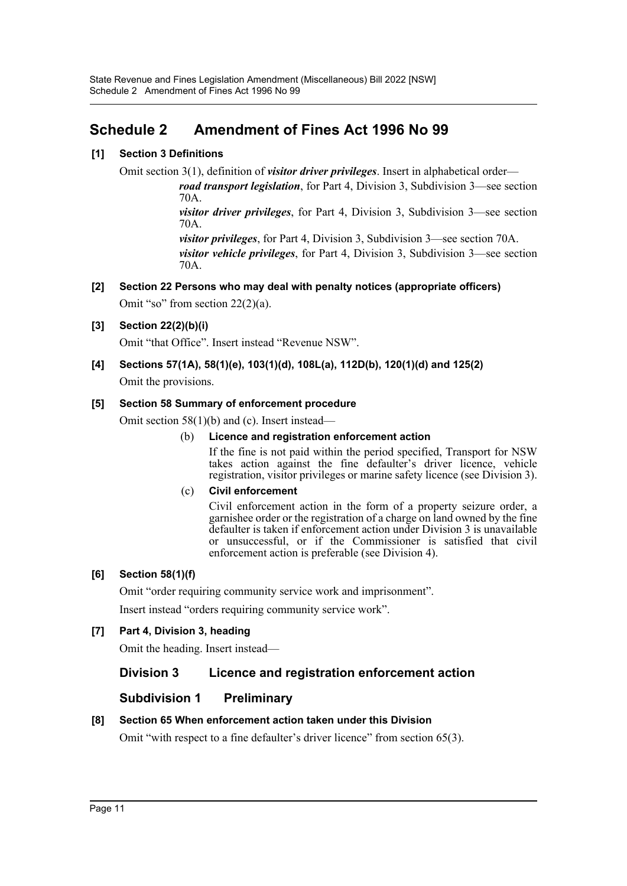## <span id="page-11-0"></span>**Schedule 2 Amendment of Fines Act 1996 No 99**

### **[1] Section 3 Definitions**

Omit section 3(1), definition of *visitor driver privileges*. Insert in alphabetical order—

*road transport legislation*, for Part 4, Division 3, Subdivision 3—see section 70A.

*visitor driver privileges*, for Part 4, Division 3, Subdivision 3—see section 70A.

*visitor privileges*, for Part 4, Division 3, Subdivision 3—see section 70A. *visitor vehicle privileges*, for Part 4, Division 3, Subdivision 3—see section 70A.

## **[2] Section 22 Persons who may deal with penalty notices (appropriate officers)**

Omit "so" from section 22(2)(a).

### **[3] Section 22(2)(b)(i)**

Omit "that Office". Insert instead "Revenue NSW".

### **[4] Sections 57(1A), 58(1)(e), 103(1)(d), 108L(a), 112D(b), 120(1)(d) and 125(2)**

Omit the provisions.

### **[5] Section 58 Summary of enforcement procedure**

Omit section 58(1)(b) and (c). Insert instead—

### (b) **Licence and registration enforcement action**

If the fine is not paid within the period specified, Transport for NSW takes action against the fine defaulter's driver licence, vehicle registration, visitor privileges or marine safety licence (see Division 3).

### (c) **Civil enforcement**

Civil enforcement action in the form of a property seizure order, a garnishee order or the registration of a charge on land owned by the fine defaulter is taken if enforcement action under Division 3 is unavailable or unsuccessful, or if the Commissioner is satisfied that civil enforcement action is preferable (see Division 4).

### **[6] Section 58(1)(f)**

Omit "order requiring community service work and imprisonment".

Insert instead "orders requiring community service work".

### **[7] Part 4, Division 3, heading**

Omit the heading. Insert instead—

### **Division 3 Licence and registration enforcement action**

### **Subdivision 1 Preliminary**

### **[8] Section 65 When enforcement action taken under this Division**

Omit "with respect to a fine defaulter's driver licence" from section 65(3).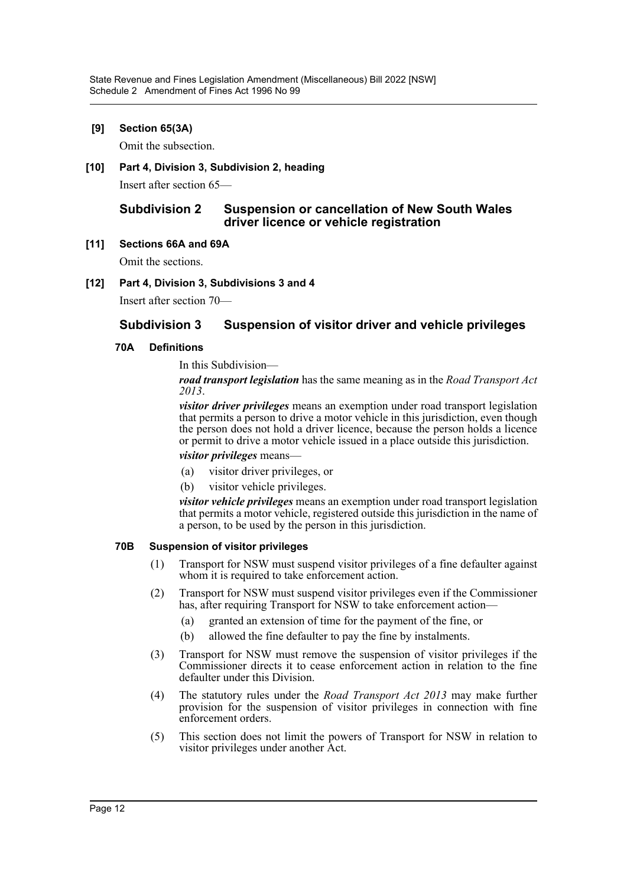### **[9] Section 65(3A)**

Omit the subsection.

**[10] Part 4, Division 3, Subdivision 2, heading**

Insert after section 65—

### **Subdivision 2 Suspension or cancellation of New South Wales driver licence or vehicle registration**

### **[11] Sections 66A and 69A**

Omit the sections.

### **[12] Part 4, Division 3, Subdivisions 3 and 4**

Insert after section 70—

### **Subdivision 3 Suspension of visitor driver and vehicle privileges**

### **70A Definitions**

In this Subdivision—

*road transport legislation* has the same meaning as in the *Road Transport Act 2013*.

*visitor driver privileges* means an exemption under road transport legislation that permits a person to drive a motor vehicle in this jurisdiction, even though the person does not hold a driver licence, because the person holds a licence or permit to drive a motor vehicle issued in a place outside this jurisdiction.

### *visitor privileges* means—

- (a) visitor driver privileges, or
- (b) visitor vehicle privileges.

*visitor vehicle privileges* means an exemption under road transport legislation that permits a motor vehicle, registered outside this jurisdiction in the name of a person, to be used by the person in this jurisdiction.

### **70B Suspension of visitor privileges**

- (1) Transport for NSW must suspend visitor privileges of a fine defaulter against whom it is required to take enforcement action.
- (2) Transport for NSW must suspend visitor privileges even if the Commissioner has, after requiring Transport for NSW to take enforcement action—
	- (a) granted an extension of time for the payment of the fine, or
	- (b) allowed the fine defaulter to pay the fine by instalments.
- (3) Transport for NSW must remove the suspension of visitor privileges if the Commissioner directs it to cease enforcement action in relation to the fine defaulter under this Division.
- (4) The statutory rules under the *Road Transport Act 2013* may make further provision for the suspension of visitor privileges in connection with fine enforcement orders.
- (5) This section does not limit the powers of Transport for NSW in relation to visitor privileges under another Act.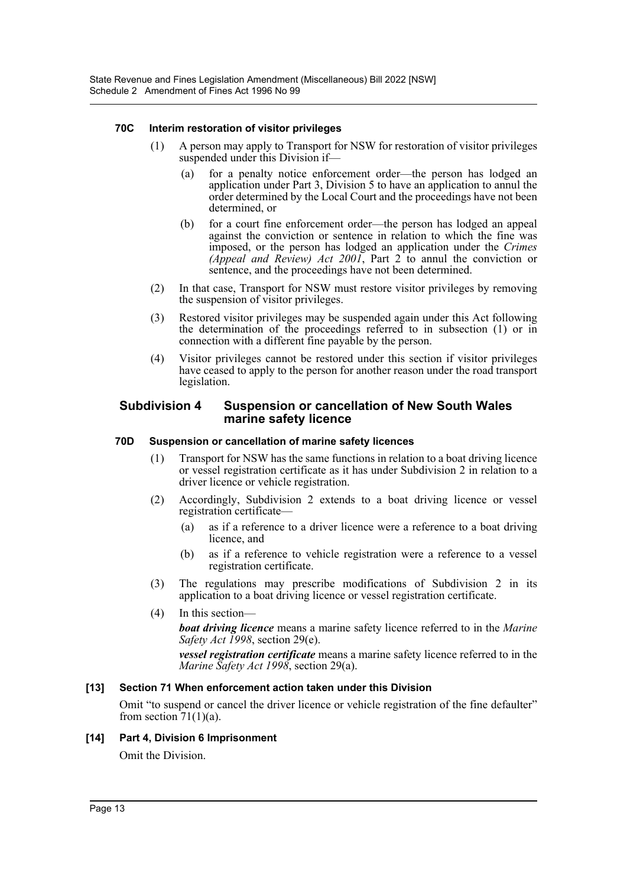### **70C Interim restoration of visitor privileges**

- (1) A person may apply to Transport for NSW for restoration of visitor privileges suspended under this Division if—
	- (a) for a penalty notice enforcement order—the person has lodged an application under Part 3, Division 5 to have an application to annul the order determined by the Local Court and the proceedings have not been determined, or
	- (b) for a court fine enforcement order—the person has lodged an appeal against the conviction or sentence in relation to which the fine was imposed, or the person has lodged an application under the *Crimes (Appeal and Review) Act 2001*, Part 2 to annul the conviction or sentence, and the proceedings have not been determined.
- (2) In that case, Transport for NSW must restore visitor privileges by removing the suspension of visitor privileges.
- (3) Restored visitor privileges may be suspended again under this Act following the determination of the proceedings referred to in subsection (1) or in connection with a different fine payable by the person.
- (4) Visitor privileges cannot be restored under this section if visitor privileges have ceased to apply to the person for another reason under the road transport legislation.

### **Subdivision 4 Suspension or cancellation of New South Wales marine safety licence**

### **70D Suspension or cancellation of marine safety licences**

- (1) Transport for NSW has the same functions in relation to a boat driving licence or vessel registration certificate as it has under Subdivision 2 in relation to a driver licence or vehicle registration.
- (2) Accordingly, Subdivision 2 extends to a boat driving licence or vessel registration certificate—
	- (a) as if a reference to a driver licence were a reference to a boat driving licence, and
	- (b) as if a reference to vehicle registration were a reference to a vessel registration certificate.
- (3) The regulations may prescribe modifications of Subdivision 2 in its application to a boat driving licence or vessel registration certificate.
- (4) In this section—

*boat driving licence* means a marine safety licence referred to in the *Marine Safety Act 1998*, section 29(e).

*vessel registration certificate* means a marine safety licence referred to in the *Marine Safety Act 1998*, section 29(a).

### **[13] Section 71 When enforcement action taken under this Division**

Omit "to suspend or cancel the driver licence or vehicle registration of the fine defaulter" from section  $71(1)(a)$ .

### **[14] Part 4, Division 6 Imprisonment**

Omit the Division.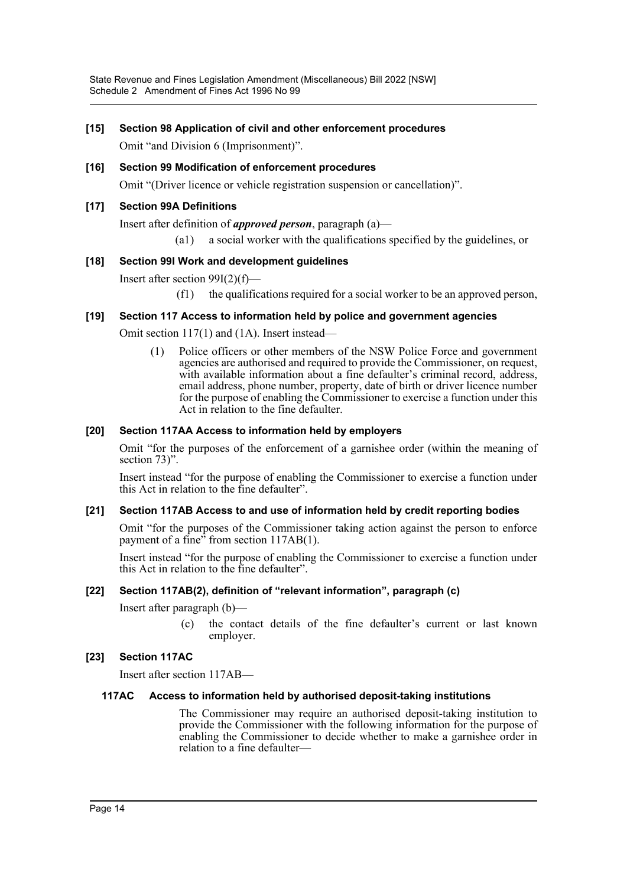State Revenue and Fines Legislation Amendment (Miscellaneous) Bill 2022 [NSW] Schedule 2 Amendment of Fines Act 1996 No 99

### **[15] Section 98 Application of civil and other enforcement procedures**

Omit "and Division 6 (Imprisonment)".

**[16] Section 99 Modification of enforcement procedures** Omit "(Driver licence or vehicle registration suspension or cancellation)".

### **[17] Section 99A Definitions**

Insert after definition of *approved person*, paragraph (a)—

(a1) a social worker with the qualifications specified by the guidelines, or

### **[18] Section 99I Work and development guidelines**

Insert after section 99I(2)(f)—

(f1) the qualifications required for a social worker to be an approved person,

### **[19] Section 117 Access to information held by police and government agencies**

Omit section 117(1) and (1A). Insert instead—

(1) Police officers or other members of the NSW Police Force and government agencies are authorised and required to provide the Commissioner, on request, with available information about a fine defaulter's criminal record, address, email address, phone number, property, date of birth or driver licence number for the purpose of enabling the Commissioner to exercise a function under this Act in relation to the fine defaulter.

### **[20] Section 117AA Access to information held by employers**

Omit "for the purposes of the enforcement of a garnishee order (within the meaning of section 73)".

Insert instead "for the purpose of enabling the Commissioner to exercise a function under this Act in relation to the fine defaulter".

### **[21] Section 117AB Access to and use of information held by credit reporting bodies**

Omit "for the purposes of the Commissioner taking action against the person to enforce payment of a fine<sup>35</sup> from section 117AB(1).

Insert instead "for the purpose of enabling the Commissioner to exercise a function under this Act in relation to the fine defaulter".

### **[22] Section 117AB(2), definition of "relevant information", paragraph (c)**

Insert after paragraph (b)—

(c) the contact details of the fine defaulter's current or last known employer.

### **[23] Section 117AC**

Insert after section 117AB—

### **117AC Access to information held by authorised deposit-taking institutions**

The Commissioner may require an authorised deposit-taking institution to provide the Commissioner with the following information for the purpose of enabling the Commissioner to decide whether to make a garnishee order in relation to a fine defaulter—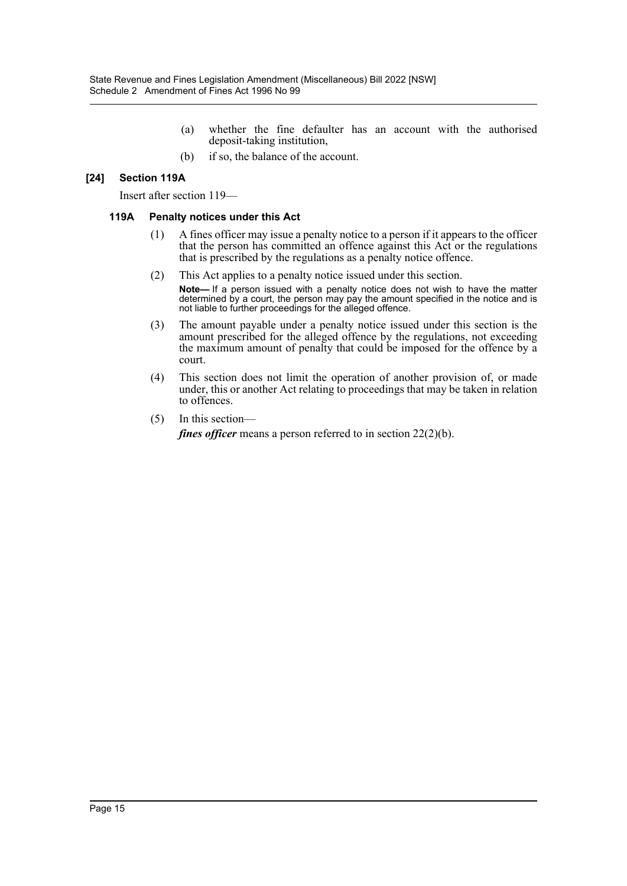- (a) whether the fine defaulter has an account with the authorised deposit-taking institution,
- (b) if so, the balance of the account.

### **[24] Section 119A**

Insert after section 119—

#### **119A Penalty notices under this Act**

- (1) A fines officer may issue a penalty notice to a person if it appears to the officer that the person has committed an offence against this Act or the regulations that is prescribed by the regulations as a penalty notice offence.
- (2) This Act applies to a penalty notice issued under this section.
	- **Note—** If a person issued with a penalty notice does not wish to have the matter determined by a court, the person may pay the amount specified in the notice and is not liable to further proceedings for the alleged offence.
- (3) The amount payable under a penalty notice issued under this section is the amount prescribed for the alleged offence by the regulations, not exceeding the maximum amount of penalty that could be imposed for the offence by a court.
- (4) This section does not limit the operation of another provision of, or made under, this or another Act relating to proceedings that may be taken in relation to offences.
- (5) In this section—

*fines officer* means a person referred to in section 22(2)(b).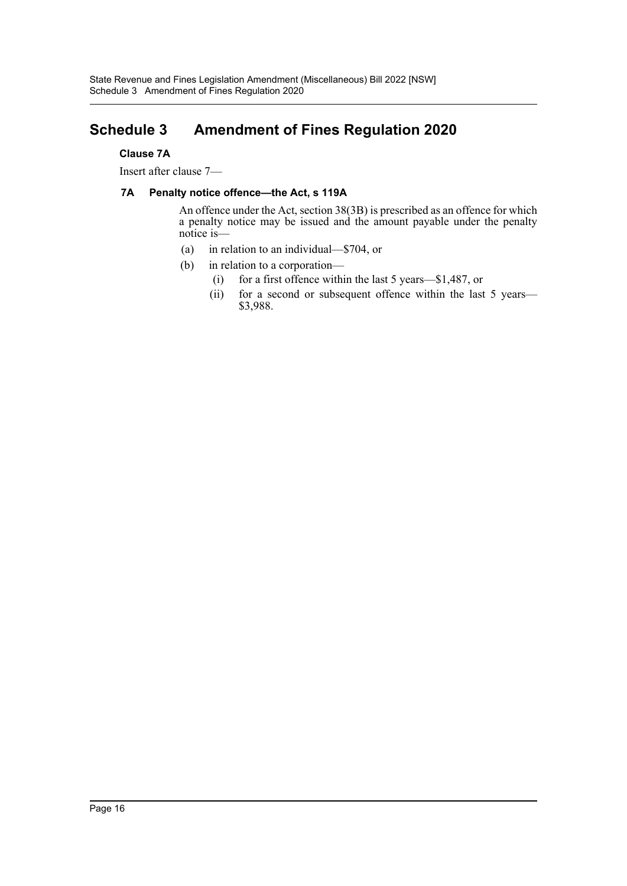## <span id="page-16-0"></span>**Schedule 3 Amendment of Fines Regulation 2020**

### **Clause 7A**

Insert after clause 7—

### **7A Penalty notice offence—the Act, s 119A**

An offence under the Act, section 38(3B) is prescribed as an offence for which a penalty notice may be issued and the amount payable under the penalty notice is—

- (a) in relation to an individual—\$704, or
- (b) in relation to a corporation—
	- (i) for a first offence within the last 5 years—\$1,487, or
	- (ii) for a second or subsequent offence within the last 5 years— \$3,988.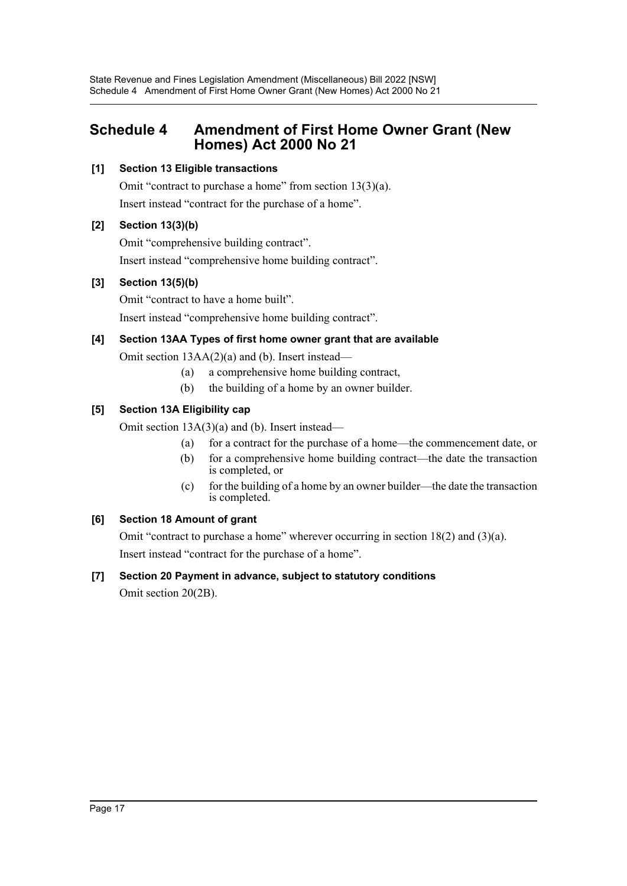## <span id="page-17-0"></span>**Schedule 4 Amendment of First Home Owner Grant (New Homes) Act 2000 No 21**

### **[1] Section 13 Eligible transactions**

Omit "contract to purchase a home" from section 13(3)(a). Insert instead "contract for the purchase of a home".

### **[2] Section 13(3)(b)**

Omit "comprehensive building contract". Insert instead "comprehensive home building contract".

### **[3] Section 13(5)(b)**

Omit "contract to have a home built". Insert instead "comprehensive home building contract".

### **[4] Section 13AA Types of first home owner grant that are available**

Omit section 13AA(2)(a) and (b). Insert instead—

- (a) a comprehensive home building contract,
- (b) the building of a home by an owner builder.

### **[5] Section 13A Eligibility cap**

Omit section 13A(3)(a) and (b). Insert instead—

- (a) for a contract for the purchase of a home—the commencement date, or
- (b) for a comprehensive home building contract—the date the transaction is completed, or
- (c) for the building of a home by an owner builder—the date the transaction is completed.

### **[6] Section 18 Amount of grant**

Omit "contract to purchase a home" wherever occurring in section 18(2) and (3)(a). Insert instead "contract for the purchase of a home".

## **[7] Section 20 Payment in advance, subject to statutory conditions**

Omit section 20(2B).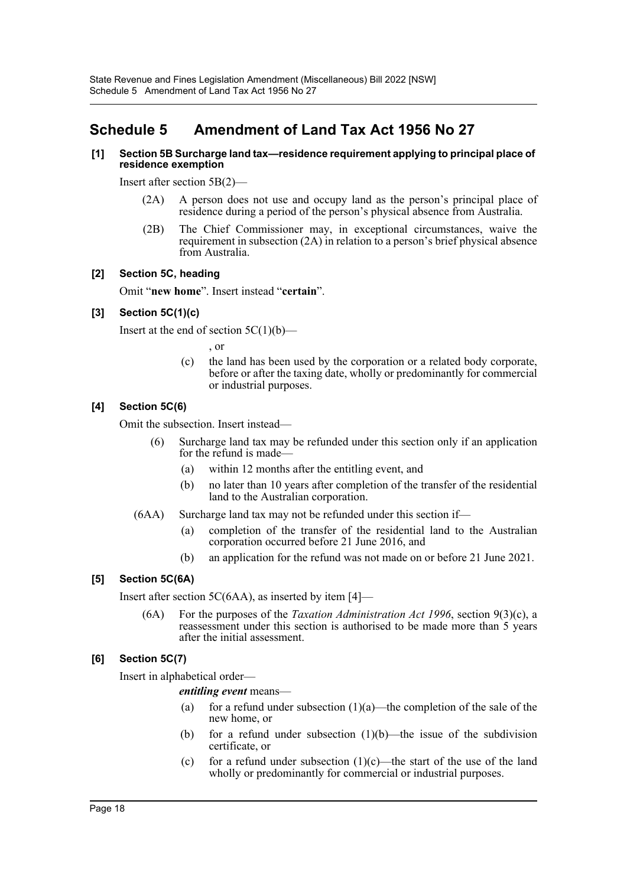## <span id="page-18-0"></span>**Schedule 5 Amendment of Land Tax Act 1956 No 27**

### **[1] Section 5B Surcharge land tax—residence requirement applying to principal place of residence exemption**

Insert after section 5B(2)—

- (2A) A person does not use and occupy land as the person's principal place of residence during a period of the person's physical absence from Australia.
- (2B) The Chief Commissioner may, in exceptional circumstances, waive the requirement in subsection (2A) in relation to a person's brief physical absence from Australia.

### **[2] Section 5C, heading**

Omit "**new home**". Insert instead "**certain**".

### **[3] Section 5C(1)(c)**

Insert at the end of section  $5C(1)(b)$ —

, or

(c) the land has been used by the corporation or a related body corporate, before or after the taxing date, wholly or predominantly for commercial or industrial purposes.

### **[4] Section 5C(6)**

Omit the subsection. Insert instead—

- (6) Surcharge land tax may be refunded under this section only if an application for the refund is made—
	- (a) within 12 months after the entitling event, and
	- (b) no later than 10 years after completion of the transfer of the residential land to the Australian corporation.
- (6AA) Surcharge land tax may not be refunded under this section if—
	- (a) completion of the transfer of the residential land to the Australian corporation occurred before 21 June 2016, and
	- (b) an application for the refund was not made on or before 21 June 2021.

### **[5] Section 5C(6A)**

Insert after section 5C(6AA), as inserted by item [4]—

(6A) For the purposes of the *Taxation Administration Act 1996*, section 9(3)(c), a reassessment under this section is authorised to be made more than 5 years after the initial assessment.

### **[6] Section 5C(7)**

Insert in alphabetical order—

*entitling event* means—

- (a) for a refund under subsection  $(1)(a)$ —the completion of the sale of the new home, or
- (b) for a refund under subsection  $(1)(b)$ —the issue of the subdivision certificate, or
- (c) for a refund under subsection  $(1)(c)$ —the start of the use of the land wholly or predominantly for commercial or industrial purposes.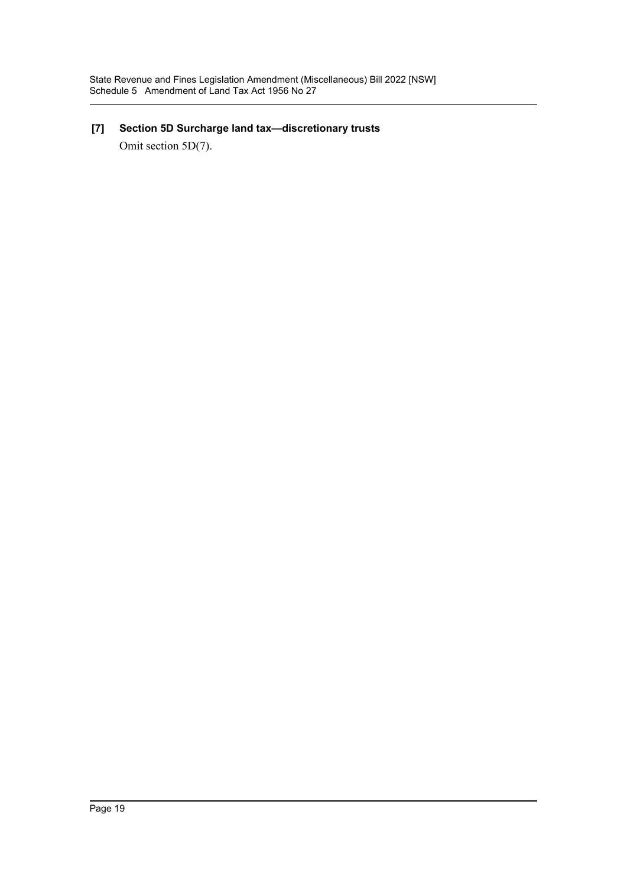## **[7] Section 5D Surcharge land tax—discretionary trusts**

Omit section 5D(7).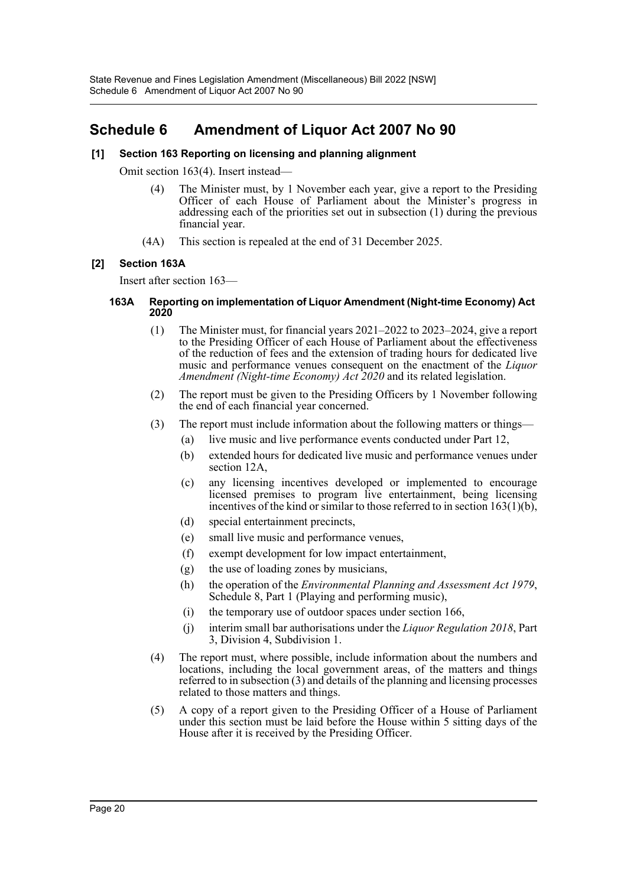## <span id="page-20-0"></span>**Schedule 6 Amendment of Liquor Act 2007 No 90**

### **[1] Section 163 Reporting on licensing and planning alignment**

Omit section 163(4). Insert instead—

- (4) The Minister must, by 1 November each year, give a report to the Presiding Officer of each House of Parliament about the Minister's progress in addressing each of the priorities set out in subsection (1) during the previous financial year.
- (4A) This section is repealed at the end of 31 December 2025.

### **[2] Section 163A**

Insert after section 163—

#### **163A Reporting on implementation of Liquor Amendment (Night-time Economy) Act 2020**

- (1) The Minister must, for financial years 2021–2022 to 2023–2024, give a report to the Presiding Officer of each House of Parliament about the effectiveness of the reduction of fees and the extension of trading hours for dedicated live music and performance venues consequent on the enactment of the *Liquor Amendment (Night-time Economy) Act 2020* and its related legislation.
- (2) The report must be given to the Presiding Officers by 1 November following the end of each financial year concerned.
- (3) The report must include information about the following matters or things—
	- (a) live music and live performance events conducted under Part 12,
	- (b) extended hours for dedicated live music and performance venues under section 12A,
	- (c) any licensing incentives developed or implemented to encourage licensed premises to program live entertainment, being licensing incentives of the kind or similar to those referred to in section  $163(1)(b)$ ,
	- (d) special entertainment precincts,
	- (e) small live music and performance venues,
	- (f) exempt development for low impact entertainment,
	- (g) the use of loading zones by musicians,
	- (h) the operation of the *Environmental Planning and Assessment Act 1979*, Schedule 8, Part 1 (Playing and performing music),
	- (i) the temporary use of outdoor spaces under section 166,
	- (j) interim small bar authorisations under the *Liquor Regulation 2018*, Part 3, Division 4, Subdivision 1.
- (4) The report must, where possible, include information about the numbers and locations, including the local government areas, of the matters and things referred to in subsection (3) and details of the planning and licensing processes related to those matters and things.
- (5) A copy of a report given to the Presiding Officer of a House of Parliament under this section must be laid before the House within 5 sitting days of the House after it is received by the Presiding Officer.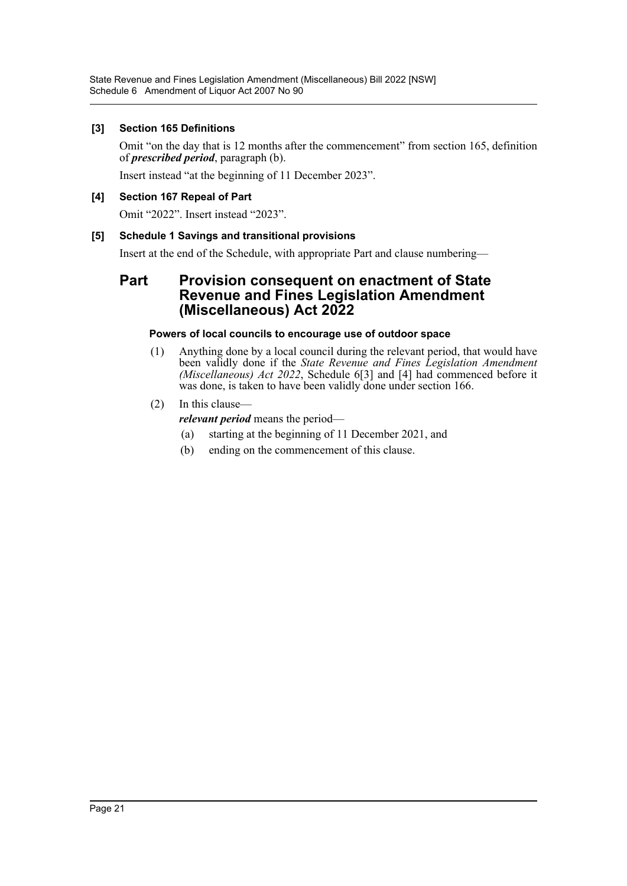### **[3] Section 165 Definitions**

Omit "on the day that is 12 months after the commencement" from section 165, definition of *prescribed period*, paragraph (b).

Insert instead "at the beginning of 11 December 2023".

### **[4] Section 167 Repeal of Part**

Omit "2022". Insert instead "2023".

### **[5] Schedule 1 Savings and transitional provisions**

Insert at the end of the Schedule, with appropriate Part and clause numbering—

### **Part Provision consequent on enactment of State Revenue and Fines Legislation Amendment (Miscellaneous) Act 2022**

### **Powers of local councils to encourage use of outdoor space**

(1) Anything done by a local council during the relevant period, that would have been validly done if the *State Revenue and Fines Legislation Amendment (Miscellaneous) Act 2022*, Schedule 6[3] and [4] had commenced before it was done, is taken to have been validly done under section 166.

### (2) In this clause—

*relevant period* means the period—

- (a) starting at the beginning of 11 December 2021, and
- (b) ending on the commencement of this clause.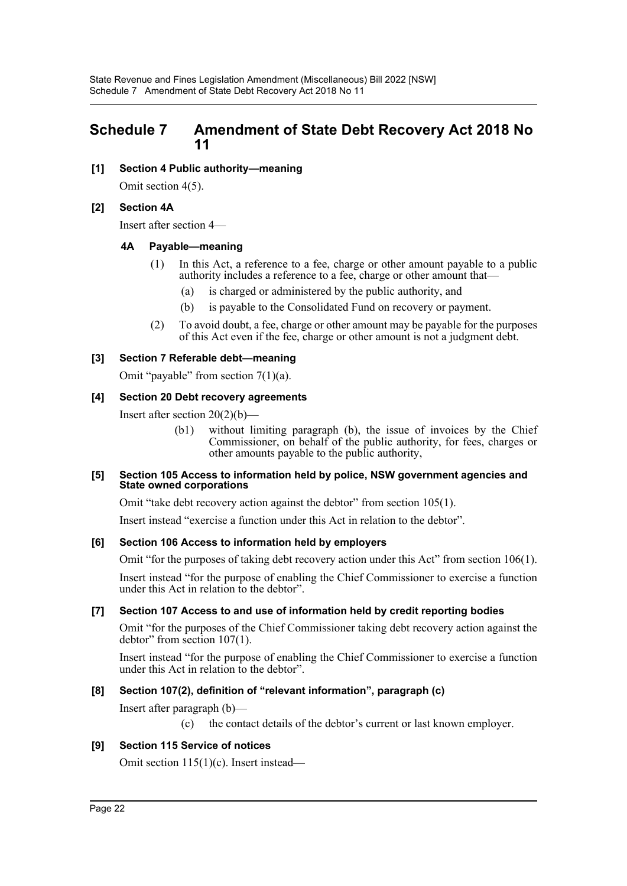## <span id="page-22-0"></span>**Schedule 7 Amendment of State Debt Recovery Act 2018 No 11**

**[1] Section 4 Public authority—meaning**

Omit section 4(5).

### **[2] Section 4A**

Insert after section 4—

### **4A Payable—meaning**

- (1) In this Act, a reference to a fee, charge or other amount payable to a public authority includes a reference to a fee, charge or other amount that—
	- (a) is charged or administered by the public authority, and
	- (b) is payable to the Consolidated Fund on recovery or payment.
- (2) To avoid doubt, a fee, charge or other amount may be payable for the purposes of this Act even if the fee, charge or other amount is not a judgment debt.

### **[3] Section 7 Referable debt—meaning**

Omit "payable" from section  $7(1)(a)$ .

### **[4] Section 20 Debt recovery agreements**

Insert after section 20(2)(b)—

(b1) without limiting paragraph (b), the issue of invoices by the Chief Commissioner, on behalf of the public authority, for fees, charges or other amounts payable to the public authority,

#### **[5] Section 105 Access to information held by police, NSW government agencies and State owned corporations**

Omit "take debt recovery action against the debtor" from section 105(1).

Insert instead "exercise a function under this Act in relation to the debtor".

### **[6] Section 106 Access to information held by employers**

Omit "for the purposes of taking debt recovery action under this Act" from section 106(1).

Insert instead "for the purpose of enabling the Chief Commissioner to exercise a function under this Act in relation to the debtor".

### **[7] Section 107 Access to and use of information held by credit reporting bodies**

Omit "for the purposes of the Chief Commissioner taking debt recovery action against the debtor" from section 107(1).

Insert instead "for the purpose of enabling the Chief Commissioner to exercise a function under this Act in relation to the debtor".

### **[8] Section 107(2), definition of "relevant information", paragraph (c)**

Insert after paragraph (b)—

(c) the contact details of the debtor's current or last known employer.

### **[9] Section 115 Service of notices**

Omit section 115(1)(c). Insert instead—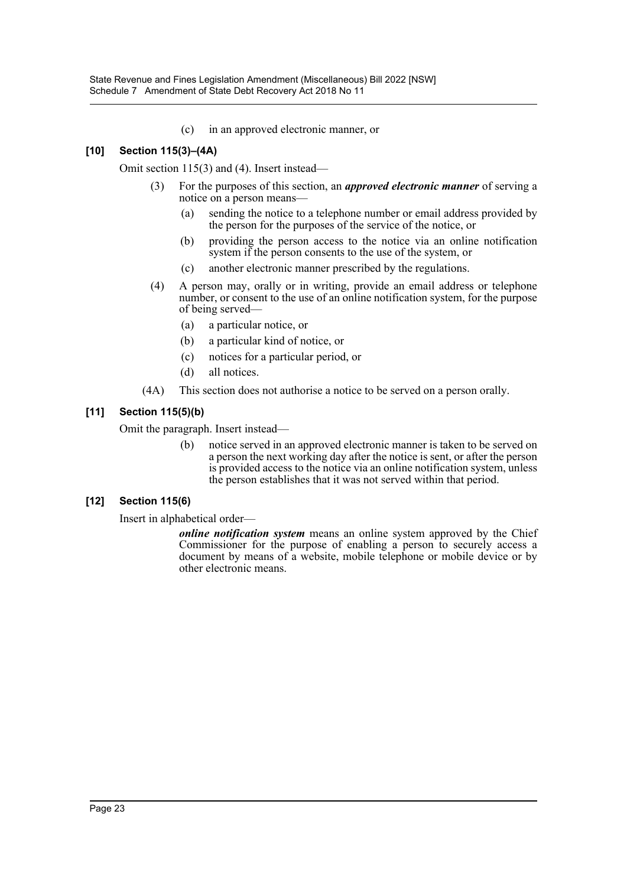(c) in an approved electronic manner, or

### **[10] Section 115(3)–(4A)**

Omit section 115(3) and (4). Insert instead—

- (3) For the purposes of this section, an *approved electronic manner* of serving a notice on a person means—
	- (a) sending the notice to a telephone number or email address provided by the person for the purposes of the service of the notice, or
	- (b) providing the person access to the notice via an online notification system if the person consents to the use of the system, or
	- (c) another electronic manner prescribed by the regulations.
- (4) A person may, orally or in writing, provide an email address or telephone number, or consent to the use of an online notification system, for the purpose of being served—
	- (a) a particular notice, or
	- (b) a particular kind of notice, or
	- (c) notices for a particular period, or
	- (d) all notices.
- (4A) This section does not authorise a notice to be served on a person orally.

### **[11] Section 115(5)(b)**

Omit the paragraph. Insert instead—

(b) notice served in an approved electronic manner is taken to be served on a person the next working day after the notice is sent, or after the person is provided access to the notice via an online notification system, unless the person establishes that it was not served within that period.

### **[12] Section 115(6)**

Insert in alphabetical order—

*online notification system* means an online system approved by the Chief Commissioner for the purpose of enabling a person to securely access a document by means of a website, mobile telephone or mobile device or by other electronic means.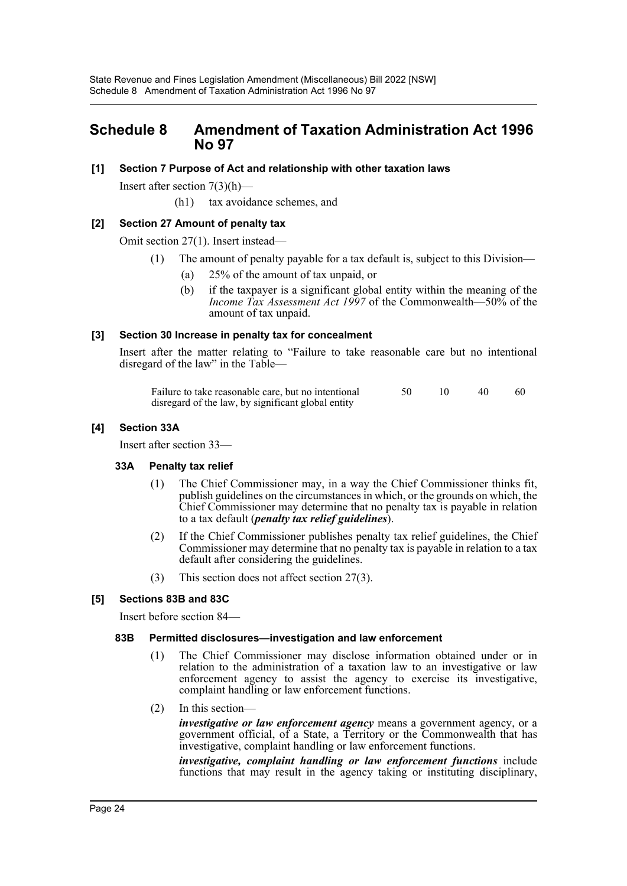### <span id="page-24-0"></span>**Schedule 8 Amendment of Taxation Administration Act 1996 No 97**

### **[1] Section 7 Purpose of Act and relationship with other taxation laws**

Insert after section  $7(3)(h)$ —

(h1) tax avoidance schemes, and

### **[2] Section 27 Amount of penalty tax**

Omit section 27(1). Insert instead—

- (1) The amount of penalty payable for a tax default is, subject to this Division—
	- (a) 25% of the amount of tax unpaid, or
	- (b) if the taxpayer is a significant global entity within the meaning of the *Income Tax Assessment Act 1997* of the Commonwealth—50% of the amount of tax unpaid.

### **[3] Section 30 Increase in penalty tax for concealment**

Insert after the matter relating to "Failure to take reasonable care but no intentional disregard of the law" in the Table-

| Failure to take reasonable care, but no intentional |  | -40 | - 60 |
|-----------------------------------------------------|--|-----|------|
| disregard of the law, by significant global entity  |  |     |      |

### **[4] Section 33A**

Insert after section 33—

### **33A Penalty tax relief**

- (1) The Chief Commissioner may, in a way the Chief Commissioner thinks fit, publish guidelines on the circumstances in which, or the grounds on which, the Chief Commissioner may determine that no penalty tax is payable in relation to a tax default (*penalty tax relief guidelines*).
- (2) If the Chief Commissioner publishes penalty tax relief guidelines, the Chief Commissioner may determine that no penalty tax is payable in relation to a tax default after considering the guidelines.
- (3) This section does not affect section 27(3).

### **[5] Sections 83B and 83C**

Insert before section 84—

### **83B Permitted disclosures—investigation and law enforcement**

- (1) The Chief Commissioner may disclose information obtained under or in relation to the administration of a taxation law to an investigative or law enforcement agency to assist the agency to exercise its investigative, complaint handling or law enforcement functions.
- (2) In this section—

*investigative or law enforcement agency* means a government agency, or a government official, of a State, a Territory or the Commonwealth that has investigative, complaint handling or law enforcement functions.

*investigative, complaint handling or law enforcement functions* include functions that may result in the agency taking or instituting disciplinary,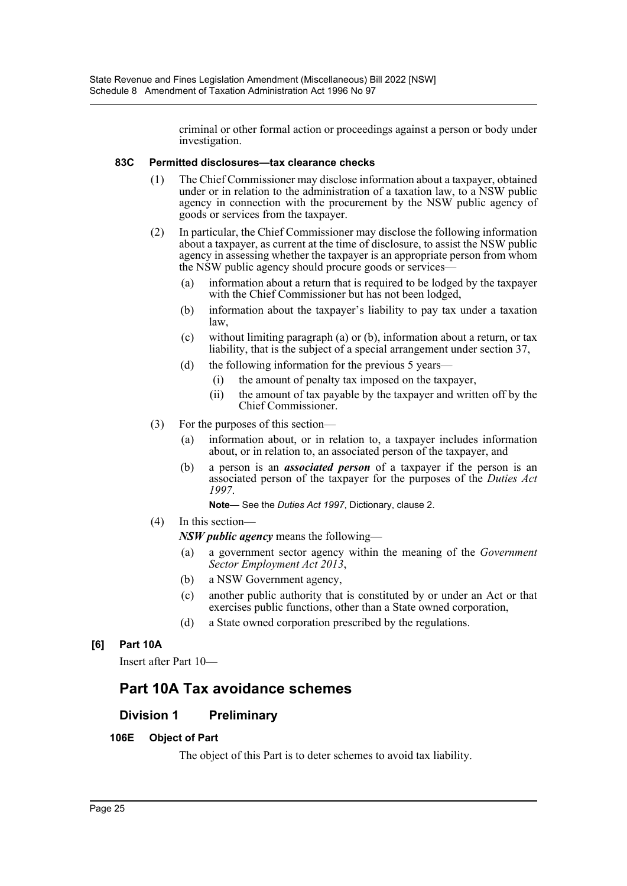criminal or other formal action or proceedings against a person or body under investigation.

### **83C Permitted disclosures—tax clearance checks**

- (1) The Chief Commissioner may disclose information about a taxpayer, obtained under or in relation to the administration of a taxation law, to a NSW public agency in connection with the procurement by the NSW public agency of goods or services from the taxpayer.
- (2) In particular, the Chief Commissioner may disclose the following information about a taxpayer, as current at the time of disclosure, to assist the NSW public agency in assessing whether the taxpayer is an appropriate person from whom the NSW public agency should procure goods or services—
	- (a) information about a return that is required to be lodged by the taxpayer with the Chief Commissioner but has not been lodged,
	- (b) information about the taxpayer's liability to pay tax under a taxation law,
	- (c) without limiting paragraph (a) or (b), information about a return, or tax liability, that is the subject of a special arrangement under section 37,
	- (d) the following information for the previous 5 years-
		- (i) the amount of penalty tax imposed on the taxpayer,
		- (ii) the amount of tax payable by the taxpayer and written off by the Chief Commissioner.
- (3) For the purposes of this section—
	- (a) information about, or in relation to, a taxpayer includes information about, or in relation to, an associated person of the taxpayer, and
	- (b) a person is an *associated person* of a taxpayer if the person is an associated person of the taxpayer for the purposes of the *Duties Act 1997*.

**Note—** See the *Duties Act 1997*, Dictionary, clause 2.

(4) In this section—

*NSW public agency* means the following—

- (a) a government sector agency within the meaning of the *Government Sector Employment Act 2013*,
- (b) a NSW Government agency,
- (c) another public authority that is constituted by or under an Act or that exercises public functions, other than a State owned corporation,
- (d) a State owned corporation prescribed by the regulations.

### **[6] Part 10A**

Insert after Part 10—

## **Part 10A Tax avoidance schemes**

### **Division 1 Preliminary**

### **106E Object of Part**

The object of this Part is to deter schemes to avoid tax liability.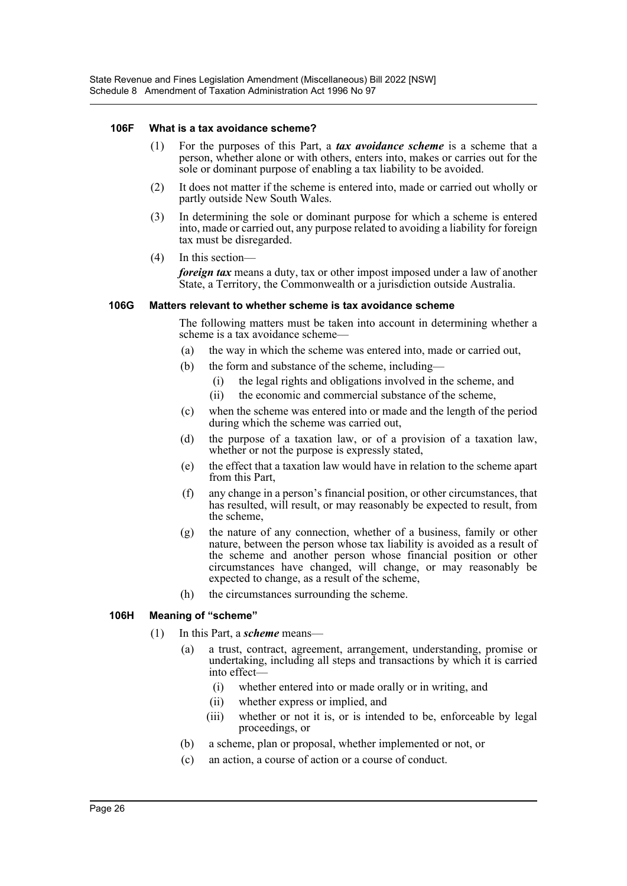#### **106F What is a tax avoidance scheme?**

- (1) For the purposes of this Part, a *tax avoidance scheme* is a scheme that a person, whether alone or with others, enters into, makes or carries out for the sole or dominant purpose of enabling a tax liability to be avoided.
- (2) It does not matter if the scheme is entered into, made or carried out wholly or partly outside New South Wales.
- (3) In determining the sole or dominant purpose for which a scheme is entered into, made or carried out, any purpose related to avoiding a liability for foreign tax must be disregarded.
- (4) In this section—

*foreign tax* means a duty, tax or other impost imposed under a law of another State, a Territory, the Commonwealth or a jurisdiction outside Australia.

#### **106G Matters relevant to whether scheme is tax avoidance scheme**

The following matters must be taken into account in determining whether a scheme is a tax avoidance scheme—

- (a) the way in which the scheme was entered into, made or carried out,
- (b) the form and substance of the scheme, including—
	- (i) the legal rights and obligations involved in the scheme, and
	- (ii) the economic and commercial substance of the scheme,
- (c) when the scheme was entered into or made and the length of the period during which the scheme was carried out,
- (d) the purpose of a taxation law, or of a provision of a taxation law, whether or not the purpose is expressly stated,
- (e) the effect that a taxation law would have in relation to the scheme apart from this Part,
- (f) any change in a person's financial position, or other circumstances, that has resulted, will result, or may reasonably be expected to result, from the scheme,
- (g) the nature of any connection, whether of a business, family or other nature, between the person whose tax liability is avoided as a result of the scheme and another person whose financial position or other circumstances have changed, will change, or may reasonably be expected to change, as a result of the scheme,
- (h) the circumstances surrounding the scheme.

### **106H Meaning of "scheme"**

- (1) In this Part, a *scheme* means—
	- (a) a trust, contract, agreement, arrangement, understanding, promise or undertaking, including all steps and transactions by which it is carried into effect—
		- (i) whether entered into or made orally or in writing, and
		- (ii) whether express or implied, and
		- (iii) whether or not it is, or is intended to be, enforceable by legal proceedings, or
	- (b) a scheme, plan or proposal, whether implemented or not, or
	- (c) an action, a course of action or a course of conduct.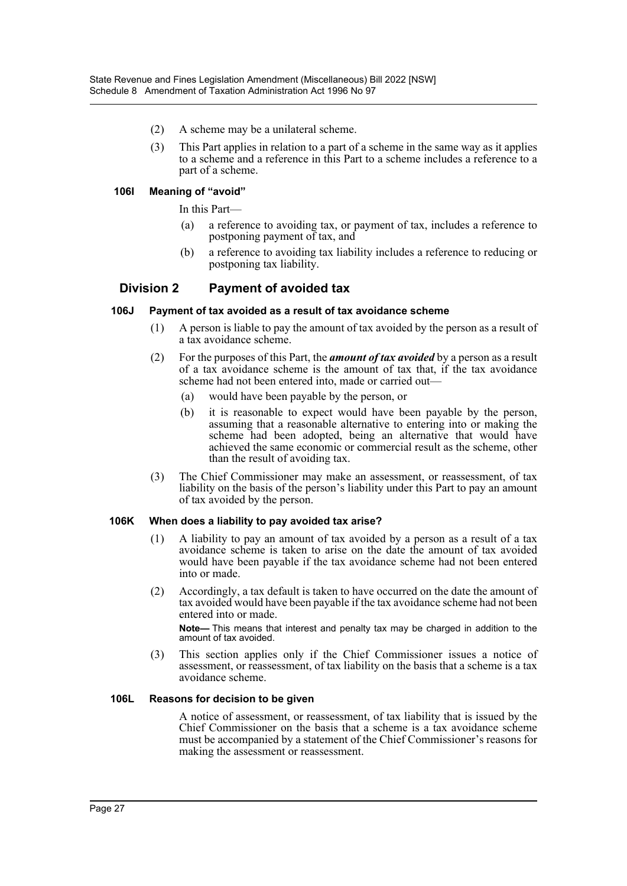- (2) A scheme may be a unilateral scheme.
- (3) This Part applies in relation to a part of a scheme in the same way as it applies to a scheme and a reference in this Part to a scheme includes a reference to a part of a scheme.

#### **106I Meaning of "avoid"**

In this Part—

- (a) a reference to avoiding tax, or payment of tax, includes a reference to postponing payment of tax, and
- (b) a reference to avoiding tax liability includes a reference to reducing or postponing tax liability.

### **Division 2 Payment of avoided tax**

#### **106J Payment of tax avoided as a result of tax avoidance scheme**

- (1) A person is liable to pay the amount of tax avoided by the person as a result of a tax avoidance scheme.
- (2) For the purposes of this Part, the *amount of tax avoided* by a person as a result of a tax avoidance scheme is the amount of tax that, if the tax avoidance scheme had not been entered into, made or carried out—
	- (a) would have been payable by the person, or
	- (b) it is reasonable to expect would have been payable by the person, assuming that a reasonable alternative to entering into or making the scheme had been adopted, being an alternative that would have achieved the same economic or commercial result as the scheme, other than the result of avoiding tax.
- (3) The Chief Commissioner may make an assessment, or reassessment, of tax liability on the basis of the person's liability under this Part to pay an amount of tax avoided by the person.

#### **106K When does a liability to pay avoided tax arise?**

- (1) A liability to pay an amount of tax avoided by a person as a result of a tax avoidance scheme is taken to arise on the date the amount of tax avoided would have been payable if the tax avoidance scheme had not been entered into or made.
- (2) Accordingly, a tax default is taken to have occurred on the date the amount of tax avoided would have been payable if the tax avoidance scheme had not been entered into or made. **Note—** This means that interest and penalty tax may be charged in addition to the amount of tax avoided.
- (3) This section applies only if the Chief Commissioner issues a notice of assessment, or reassessment, of tax liability on the basis that a scheme is a tax avoidance scheme.

### **106L Reasons for decision to be given**

A notice of assessment, or reassessment, of tax liability that is issued by the Chief Commissioner on the basis that a scheme is a tax avoidance scheme must be accompanied by a statement of the Chief Commissioner's reasons for making the assessment or reassessment.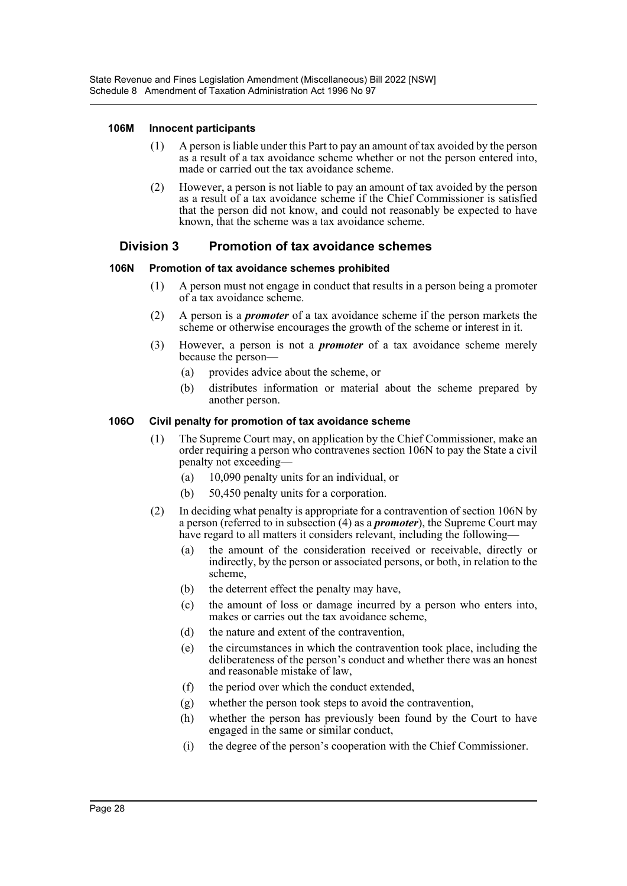### **106M Innocent participants**

- (1) A person is liable under this Part to pay an amount of tax avoided by the person as a result of a tax avoidance scheme whether or not the person entered into, made or carried out the tax avoidance scheme.
- (2) However, a person is not liable to pay an amount of tax avoided by the person as a result of a tax avoidance scheme if the Chief Commissioner is satisfied that the person did not know, and could not reasonably be expected to have known, that the scheme was a tax avoidance scheme.

### **Division 3 Promotion of tax avoidance schemes**

### **106N Promotion of tax avoidance schemes prohibited**

- (1) A person must not engage in conduct that results in a person being a promoter of a tax avoidance scheme.
- (2) A person is a *promoter* of a tax avoidance scheme if the person markets the scheme or otherwise encourages the growth of the scheme or interest in it.
- (3) However, a person is not a *promoter* of a tax avoidance scheme merely because the person—
	- (a) provides advice about the scheme, or
	- (b) distributes information or material about the scheme prepared by another person.

### **106O Civil penalty for promotion of tax avoidance scheme**

- (1) The Supreme Court may, on application by the Chief Commissioner, make an order requiring a person who contravenes section 106N to pay the State a civil penalty not exceeding—
	- (a) 10,090 penalty units for an individual, or
	- (b) 50,450 penalty units for a corporation.
- (2) In deciding what penalty is appropriate for a contravention of section 106N by a person (referred to in subsection (4) as a *promoter*), the Supreme Court may have regard to all matters it considers relevant, including the following—
	- (a) the amount of the consideration received or receivable, directly or indirectly, by the person or associated persons, or both, in relation to the scheme,
	- (b) the deterrent effect the penalty may have,
	- (c) the amount of loss or damage incurred by a person who enters into, makes or carries out the tax avoidance scheme,
	- (d) the nature and extent of the contravention,
	- (e) the circumstances in which the contravention took place, including the deliberateness of the person's conduct and whether there was an honest and reasonable mistake of law,
	- (f) the period over which the conduct extended,
	- (g) whether the person took steps to avoid the contravention,
	- (h) whether the person has previously been found by the Court to have engaged in the same or similar conduct,
	- (i) the degree of the person's cooperation with the Chief Commissioner.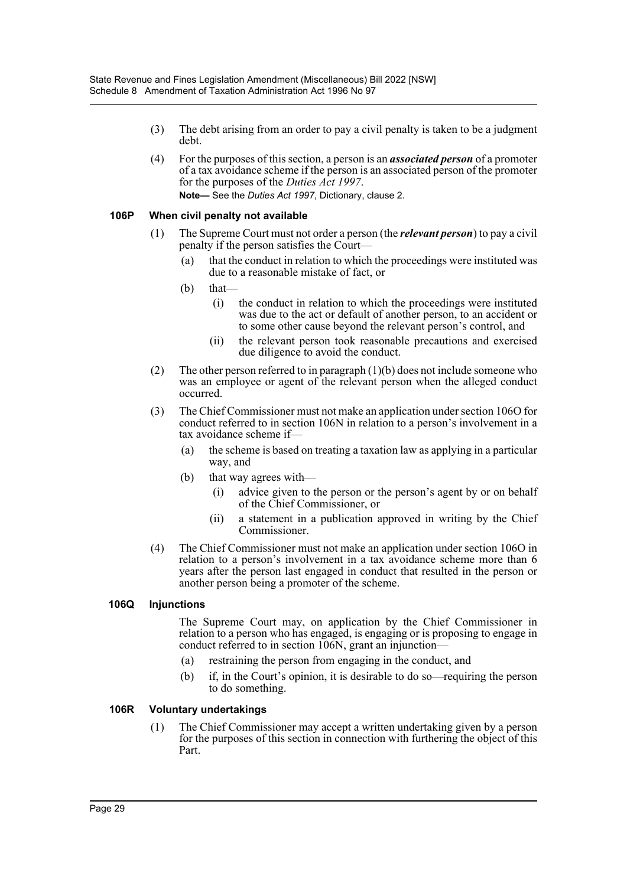- (3) The debt arising from an order to pay a civil penalty is taken to be a judgment debt.
- (4) For the purposes of this section, a person is an *associated person* of a promoter of a tax avoidance scheme if the person is an associated person of the promoter for the purposes of the *Duties Act 1997*. **Note—** See the *Duties Act 1997*, Dictionary, clause 2.

### **106P When civil penalty not available**

- (1) The Supreme Court must not order a person (the *relevant person*) to pay a civil penalty if the person satisfies the Court—
	- (a) that the conduct in relation to which the proceedings were instituted was due to a reasonable mistake of fact, or
	- $(b)$  that—
		- (i) the conduct in relation to which the proceedings were instituted was due to the act or default of another person, to an accident or to some other cause beyond the relevant person's control, and
		- (ii) the relevant person took reasonable precautions and exercised due diligence to avoid the conduct.
- (2) The other person referred to in paragraph (1)(b) does not include someone who was an employee or agent of the relevant person when the alleged conduct occurred.
- (3) The Chief Commissioner must not make an application under section 106O for conduct referred to in section 106N in relation to a person's involvement in a tax avoidance scheme if—
	- (a) the scheme is based on treating a taxation law as applying in a particular way, and
	- (b) that way agrees with—
		- (i) advice given to the person or the person's agent by or on behalf of the Chief Commissioner, or
		- (ii) a statement in a publication approved in writing by the Chief Commissioner.
- (4) The Chief Commissioner must not make an application under section 106O in relation to a person's involvement in a tax avoidance scheme more than 6 years after the person last engaged in conduct that resulted in the person or another person being a promoter of the scheme.

### **106Q Injunctions**

The Supreme Court may, on application by the Chief Commissioner in relation to a person who has engaged, is engaging or is proposing to engage in conduct referred to in section 106N, grant an injunction-

- (a) restraining the person from engaging in the conduct, and
- (b) if, in the Court's opinion, it is desirable to do so—requiring the person to do something.

### **106R Voluntary undertakings**

(1) The Chief Commissioner may accept a written undertaking given by a person for the purposes of this section in connection with furthering the object of this Part.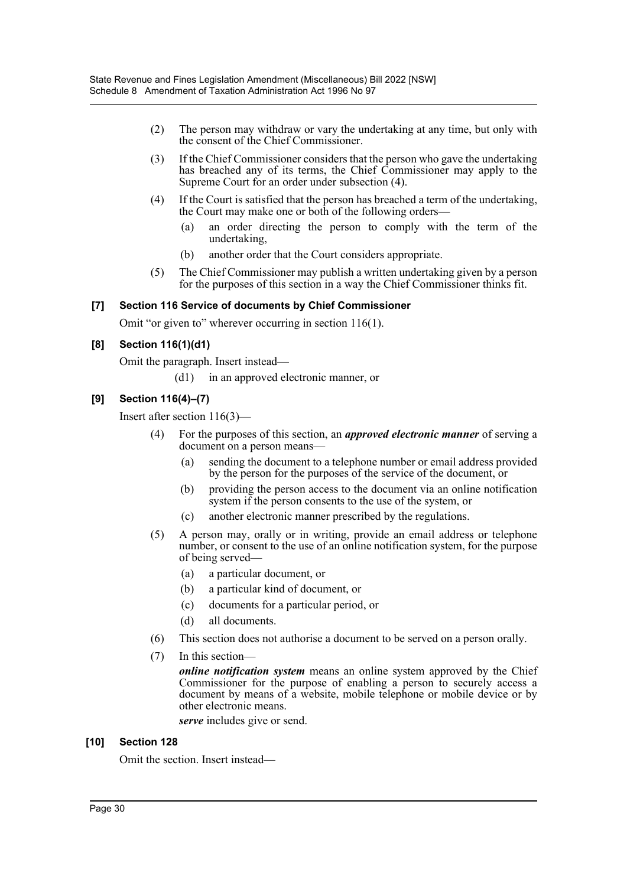- (2) The person may withdraw or vary the undertaking at any time, but only with the consent of the Chief Commissioner.
- (3) If the Chief Commissioner considers that the person who gave the undertaking has breached any of its terms, the Chief Commissioner may apply to the Supreme Court for an order under subsection (4).
- (4) If the Court is satisfied that the person has breached a term of the undertaking, the Court may make one or both of the following orders—
	- (a) an order directing the person to comply with the term of the undertaking,
	- (b) another order that the Court considers appropriate.
- (5) The Chief Commissioner may publish a written undertaking given by a person for the purposes of this section in a way the Chief Commissioner thinks fit.

### **[7] Section 116 Service of documents by Chief Commissioner**

Omit "or given to" wherever occurring in section 116(1).

### **[8] Section 116(1)(d1)**

Omit the paragraph. Insert instead—

(d1) in an approved electronic manner, or

### **[9] Section 116(4)–(7)**

Insert after section 116(3)—

- (4) For the purposes of this section, an *approved electronic manner* of serving a document on a person means-
	- (a) sending the document to a telephone number or email address provided by the person for the purposes of the service of the document, or
	- (b) providing the person access to the document via an online notification system if the person consents to the use of the system, or
	- (c) another electronic manner prescribed by the regulations.
- (5) A person may, orally or in writing, provide an email address or telephone number, or consent to the use of an online notification system, for the purpose of being served—
	- (a) a particular document, or
	- (b) a particular kind of document, or
	- (c) documents for a particular period, or
	- (d) all documents.
- (6) This section does not authorise a document to be served on a person orally.
- (7) In this section—

*online notification system* means an online system approved by the Chief Commissioner for the purpose of enabling a person to securely access a document by means of a website, mobile telephone or mobile device or by other electronic means.

*serve* includes give or send.

### **[10] Section 128**

Omit the section. Insert instead—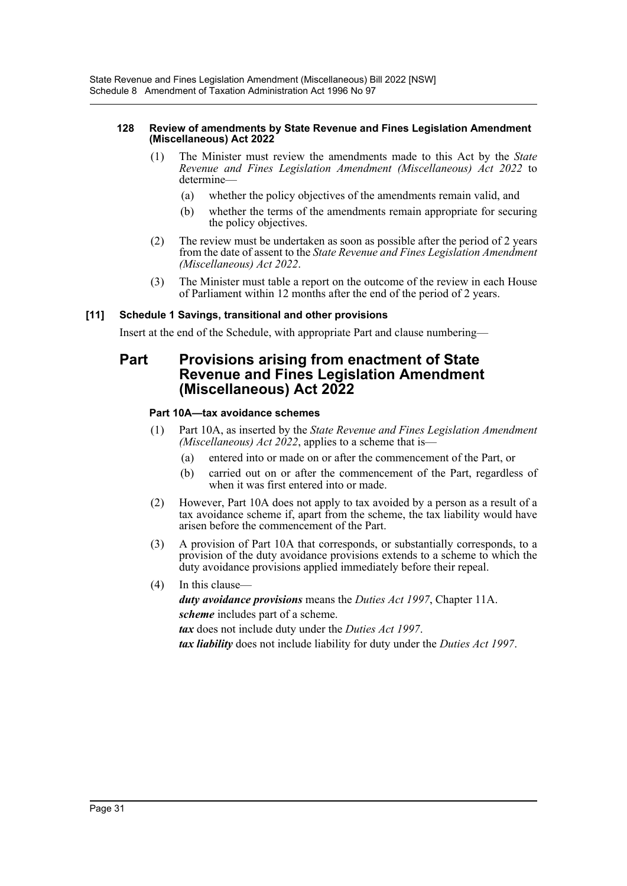#### **128 Review of amendments by State Revenue and Fines Legislation Amendment (Miscellaneous) Act 2022**

- (1) The Minister must review the amendments made to this Act by the *State Revenue and Fines Legislation Amendment (Miscellaneous) Act 2022* to determine—
	- (a) whether the policy objectives of the amendments remain valid, and
	- (b) whether the terms of the amendments remain appropriate for securing the policy objectives.
- (2) The review must be undertaken as soon as possible after the period of 2 years from the date of assent to the *State Revenue and Fines Legislation Amendment (Miscellaneous) Act 2022*.
- (3) The Minister must table a report on the outcome of the review in each House of Parliament within 12 months after the end of the period of 2 years.

### **[11] Schedule 1 Savings, transitional and other provisions**

Insert at the end of the Schedule, with appropriate Part and clause numbering—

### **Part Provisions arising from enactment of State Revenue and Fines Legislation Amendment (Miscellaneous) Act 2022**

### **Part 10A—tax avoidance schemes**

- (1) Part 10A, as inserted by the *State Revenue and Fines Legislation Amendment (Miscellaneous) Act 2022*, applies to a scheme that is—
	- (a) entered into or made on or after the commencement of the Part, or
	- (b) carried out on or after the commencement of the Part, regardless of when it was first entered into or made.
- (2) However, Part 10A does not apply to tax avoided by a person as a result of a tax avoidance scheme if, apart from the scheme, the tax liability would have arisen before the commencement of the Part.
- (3) A provision of Part 10A that corresponds, or substantially corresponds, to a provision of the duty avoidance provisions extends to a scheme to which the duty avoidance provisions applied immediately before their repeal.
- (4) In this clause—

*duty avoidance provisions* means the *Duties Act 1997*, Chapter 11A. *scheme* includes part of a scheme.

*tax* does not include duty under the *Duties Act 1997*.

*tax liability* does not include liability for duty under the *Duties Act 1997*.